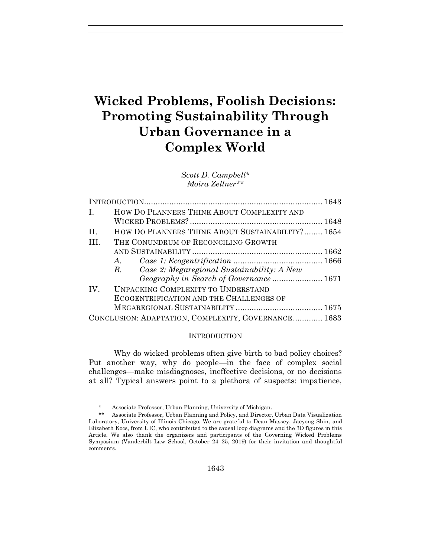# **Wicked Problems, Foolish Decisions: Promoting Sustainability Through Urban Governance in a Complex World**

*Scott D. Campbell\* Moira Zellner\*\**

| $\mathbf{L}$    | HOW DO PLANNERS THINK ABOUT COMPLEXITY AND               |  |  |  |
|-----------------|----------------------------------------------------------|--|--|--|
|                 |                                                          |  |  |  |
| $\Pi$ .         | HOW DO PLANNERS THINK ABOUT SUSTAINABILITY? 1654         |  |  |  |
| TH <sub>1</sub> | THE CONUNDRUM OF RECONCILING GROWTH                      |  |  |  |
|                 |                                                          |  |  |  |
|                 | $A$ .                                                    |  |  |  |
|                 | Case 2: Megaregional Sustainability: A New<br><i>B</i> . |  |  |  |
|                 | Geography in Search of Governance  1671                  |  |  |  |
| IV.             | <b>UNPACKING COMPLEXITY TO UNDERSTAND</b>                |  |  |  |
|                 | ECOGENTRIFICATION AND THE CHALLENGES OF                  |  |  |  |
|                 |                                                          |  |  |  |
|                 | CONCLUSION: ADAPTATION, COMPLEXITY, GOVERNANCE 1683      |  |  |  |

#### **INTRODUCTION**

Why do wicked problems often give birth to bad policy choices? Put another way, why do people—in the face of complex social challenges—make misdiagnoses, ineffective decisions, or no decisions at all? Typical answers point to a plethora of suspects: impatience,

<sup>\*</sup> Associate Professor, Urban Planning, University of Michigan.

<sup>\*\*</sup> Associate Professor, Urban Planning and Policy, and Director, Urban Data Visualization Laboratory, University of Illinois-Chicago. We are grateful to Dean Massey, Jaeyong Shin, and Elizabeth Kocs, from UIC, who contributed to the causal loop diagrams and the 3D figures in this Article. We also thank the organizers and participants of the Governing Wicked Problems Symposium (Vanderbilt Law School, October 24–25, 2019) for their invitation and thoughtful comments.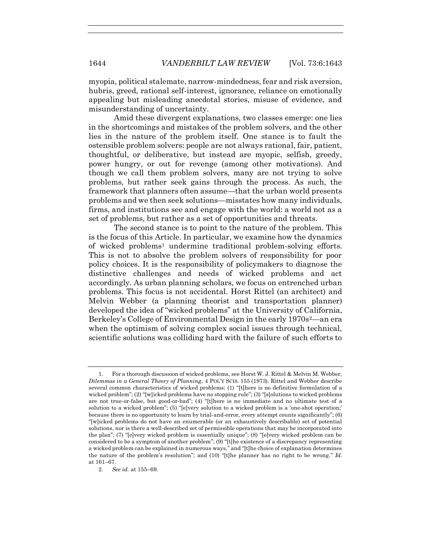myopia, political stalemate, narrow-mindedness, fear and risk aversion, hubris, greed, rational self-interest, ignorance, reliance on emotionally appealing but misleading anecdotal stories, misuse of evidence, and misunderstanding of uncertainty.

Amid these divergent explanations, two classes emerge: one lies in the shortcomings and mistakes of the problem solvers, and the other lies in the nature of the problem itself. One stance is to fault the ostensible problem solvers: people are not always rational, fair, patient, thoughtful, or deliberative, but instead are myopic, selfish, greedy, power hungry, or out for revenge (among other motivations). And though we call them problem solvers, many are not trying to solve problems, but rather seek gains through the process. As such, the framework that planners often assume—that the urban world presents problems and we then seek solutions—misstates how many individuals, firms, and institutions see and engage with the world: a world not as a set of problems, but rather as a set of opportunities and threats.

<span id="page-1-0"></span>The second stance is to point to the nature of the problem. This is the focus of this Article. In particular, we examine how the dynamics of wicked problems<sup>1</sup> undermine traditional problem-solving efforts. This is not to absolve the problem solvers of responsibility for poor policy choices. It is the responsibility of policymakers to diagnose the distinctive challenges and needs of wicked problems and act accordingly. As urban planning scholars, we focus on entrenched urban problems. This focus is not accidental. Horst Rittel (an architect) and Melvin Webber (a planning theorist and transportation planner) developed the idea of "wicked problems" at the University of California, Berkeley's College of Environmental Design in the early 1970s<sup>2</sup>—an era when the optimism of solving complex social issues through technical, scientific solutions was colliding hard with the failure of such efforts to

<sup>1.</sup> For a thorough discussion of wicked problems, see Horst W. J. Rittel & Melvin M. Webber, *Dilemmas in a General Theory of Planning*, 4 POL'Y SCIS. 155 (1973). Rittel and Webber describe several common characteristics of wicked problems: (1) "[t]here is no definitive formulation of a wicked problem"; (2) "[w]icked problems have no stopping rule"; (3) "[s]olutions to wicked problems are not true-or-false, but good-or-bad"; (4) "[t]here is no immediate and no ultimate test of a solution to a wicked problem"; (5) "[e]very solution to a wicked problem is a 'one-shot operation;' because there is no opportunity to learn by trial-and-error, every attempt counts significantly"; (6) "[w]icked problems do not have an enumerable (or an exhaustively describable) set of potential solutions, nor is there a well-described set of permissible operations that may be incorporated into the plan"; (7) "[e]very wicked problem is essentially unique"; (8) "[e]very wicked problem can be considered to be a symptom of another problem"; (9) "[t]he existence of a discrepancy representing a wicked problem can be explained in numerous ways," and "[t]he choice of explanation determines the nature of the problem's resolution"; and (10) "[t]he planner has no right to be wrong." *Id.*  at 161–67.

<sup>2</sup>*. See id.* at 155–69.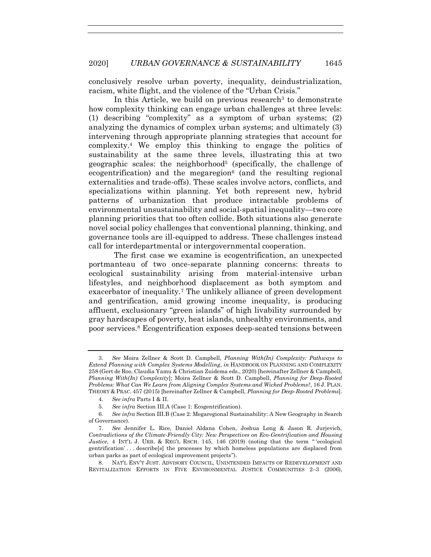conclusively resolve urban poverty, inequality, deindustrialization, racism, white flight, and the violence of the "Urban Crisis."

<span id="page-2-0"></span>In this Article, we build on previous research<sup>3</sup> to demonstrate how complexity thinking can engage urban challenges at three levels: (1) describing "complexity" as a symptom of urban systems; (2) analyzing the dynamics of complex urban systems; and ultimately (3) intervening through appropriate planning strategies that account for complexity.<sup>4</sup> We employ this thinking to engage the politics of sustainability at the same three levels, illustrating this at two geographic scales: the neighborhood<sup>5</sup> (specifically, the challenge of ecogentrification) and the megaregion<sup>6</sup> (and the resulting regional externalities and trade-offs). These scales involve actors, conflicts, and specializations within planning. Yet both represent new, hybrid patterns of urbanization that produce intractable problems of environmental unsustainability and social-spatial inequality—two core planning priorities that too often collide. Both situations also generate novel social policy challenges that conventional planning, thinking, and governance tools are ill-equipped to address. These challenges instead call for interdepartmental or intergovernmental cooperation.

<span id="page-2-1"></span>The first case we examine is ecogentrification, an unexpected portmanteau of two once-separate planning concerns: threats to ecological sustainability arising from material-intensive urban lifestyles, and neighborhood displacement as both symptom and exacerbator of inequality.<sup>7</sup> The unlikely alliance of green development and gentrification, amid growing income inequality, is producing affluent, exclusionary "green islands" of high livability surrounded by gray hardscapes of poverty, heat islands, unhealthy environments, and poor services.<sup>8</sup> Ecogentrification exposes deep-seated tensions between

<sup>3</sup>*. See* Moira Zellner & Scott D. Campbell, *Planning With(In) Complexity: Pathways to Extend Planning with Complex Systems Modelling*, *in* HANDBOOK ON PLANNING AND COMPLEXITY 258 (Gert de Roo, Claudia Yamu & Christian Zuidema eds., 2020) [hereinafter Zellner & Campbell, *Planning With(In) Complexity*]; Moira Zellner & Scott D. Campbell, *Planning for Deep-Rooted Problems: What Can We Learn from Aligning Complex Systems and Wicked Problems?*, 16 J. PLAN. THEORY & PRAC. 457 (2015) [hereinafter Zellner & Campbell, *Planning for Deep-Rooted Problems*].

<sup>4</sup>*. See infra* Parts I & II.

<sup>5</sup>*. See infra* Section III.A (Case 1: Ecogentrification).

<sup>6</sup>*. See infra* Section III.B (Case 2: Megaregional Sustainability: A New Geography in Search of Governance).

<sup>7.</sup> *See* Jennifer L. Rice, Daniel Aldana Cohen, Joshua Long & Jason R. Jurjevich, *Contradictions of the Climate-Friendly City: New Perspectives on Eco-Gentrification and Housing Justice*, 4 INT'L J. URB. & REG'L RSCH. 145, 146 (2019) (noting that the term " 'ecological gentrification' . . . describe[s] the processes by which homeless populations are displaced from urban parks as part of ecological improvement projects").

<sup>8.</sup> NAT'L ENV'T JUST. ADVISORY COUNCIL, UNINTENDED IMPACTS OF REDEVELOPMENT AND REVITALIZATION EFFORTS IN FIVE ENVIRONMENTAL JUSTICE COMMUNITIES 2–3 (2006),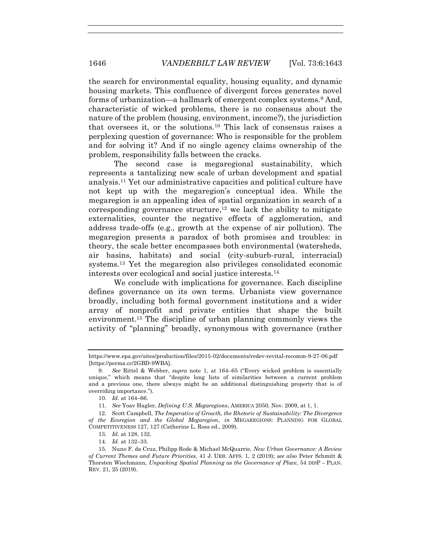the search for environmental equality, housing equality, and dynamic housing markets. This confluence of divergent forces generates novel forms of urbanization—a hallmark of emergent complex systems.<sup>9</sup> And, characteristic of wicked problems, there is no consensus about the nature of the problem (housing, environment, income?), the jurisdiction that oversees it, or the solutions.<sup>10</sup> This lack of consensus raises a perplexing question of governance: Who is responsible for the problem and for solving it? And if no single agency claims ownership of the problem, responsibility falls between the cracks.

<span id="page-3-1"></span><span id="page-3-0"></span>The second case is megaregional sustainability, which represents a tantalizing new scale of urban development and spatial analysis.<sup>11</sup> Yet our administrative capacities and political culture have not kept up with the megaregion's conceptual idea. While the megaregion is an appealing idea of spatial organization in search of a corresponding governance structure, <sup>12</sup> we lack the ability to mitigate externalities, counter the negative effects of agglomeration, and address trade-offs (e.g., growth at the expense of air pollution). The megaregion presents a paradox of both promises and troubles: in theory, the scale better encompasses both environmental (watersheds, air basins, habitats) and social (city-suburb-rural, interracial) systems.<sup>13</sup> Yet the megaregion also privileges consolidated economic interests over ecological and social justice interests.<sup>14</sup>

We conclude with implications for governance. Each discipline defines governance on its own terms. Urbanists view governance broadly, including both formal government institutions and a wider array of nonprofit and private entities that shape the built environment.<sup>15</sup> The discipline of urban planning commonly views the activity of "planning" broadly, synonymous with governance (rather

11*. See* Yoav Hagler, *Defining U.S. Megaregions*, AMERICA 2050, Nov. 2009, at 1, 1.

14*. Id.* at 132–33.

https://www.epa.gov/sites/production/files/2015-02/documents/redev-revital-recomm-9-27-06.pdf [https://perma.cc/2GBD-9WBA].

<sup>9</sup>*. See* Rittel & Webber, *supra* note [1,](#page-1-0) at 164–65 ("Every wicked problem is essentially unique," which means that "despite long lists of similarities between a current problem and a previous one, there always might be an additional distinguishing property that is of overriding importance.").

<sup>10</sup>*. Id.* at 164–66.

<sup>12.</sup> Scott Campbell, *The Imperative of Growth, the Rhetoric of Sustainability: The Divergence of the Ecoregion and the Global Megaregion*, *in* MEGAREGIONS: PLANNING FOR GLOBAL COMPETITIVENESS 127, 127 (Catherine L. Ross ed., 2009).

<sup>13</sup>*. Id.* at 128, 132.

<sup>15.</sup> Nuno F. da Cruz, Philipp Rode & Michael McQuarrie, *New Urban Governance: A Review of Current Themes and Future Priorities*, 41 J. URB. AFFS. 1, 2 (2019); *see also* Peter Schmitt & Thorsten Wiechmann, *Unpacking Spatial Planning as the Governance of Place*, 54 DISP – PLAN. REV. 21, 25 (2019).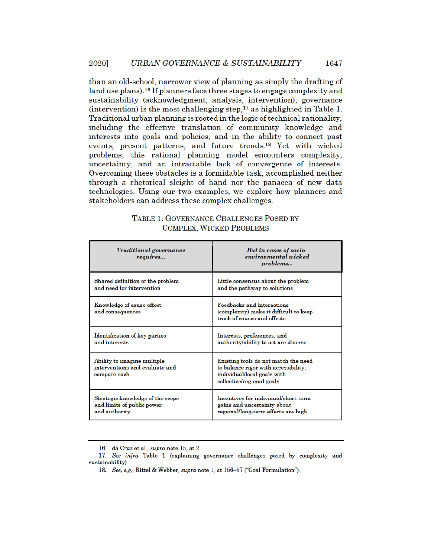than an old-school, narrower view of planning as simply the drafting of land use plans).<sup>16</sup> If planners face three stages to engage complexity and sustainability (acknowledgment, analysis, intervention), governance (intervention) is the most challenging step,<sup>17</sup> as highlighted in Table 1. Traditional urban planning is rooted in the logic of technical rationality, including the effective translation of community knowledge and interests into goals and policies, and in the ability to connect past events, present patterns, and future trends.<sup>18</sup> Yet with wicked problems, this rational planning model encounters complexity, uncertainty, and an intractable lack of convergence of interests. Overcoming these obstacles is a formidable task, accomplished neither through a rhetorical sleight of hand nor the panacea of new data technologies. Using our two examples, we explore how planners and stakeholders can address these complex challenges.

| <b>Traditional governance</b><br>requires                                     | But in cases of socio-<br>environmental wicked<br>problems                                                                               |  |
|-------------------------------------------------------------------------------|------------------------------------------------------------------------------------------------------------------------------------------|--|
| Shared definition of the problem                                              | Little consensus about the problem                                                                                                       |  |
| and need for intervention                                                     | and the pathway to solutions                                                                                                             |  |
| Knowledge of cause-effect<br>and consequences                                 | <b>Feedbacks and interactions</b><br>(complexity) make it difficult to keep<br>track of causes and effects                               |  |
| Identification of key parties                                                 | Interests, preferences, and                                                                                                              |  |
| and interests                                                                 | authority/ability to act are diverse                                                                                                     |  |
| Ability to imagine multiple<br>interventions and evaluate and<br>compare each | Existing tools do not match the need<br>to balance rigor with accessibility,<br>individual/local goals with<br>collective/regional goals |  |
| Strategic knowledge of the scope                                              | Incentives for individual/short-term                                                                                                     |  |
| and limits of public power                                                    | gains and uncertainty about                                                                                                              |  |
| and authority                                                                 | regional/long-term effects are high                                                                                                      |  |

| TABLE 1: GOVERNANCE CHALLENGES POSED BY |  |
|-----------------------------------------|--|
| <b>COMPLEX, WICKED PROBLEMS</b>         |  |

<sup>16.</sup> da Cruz et al., supra note 15, at 2.

<sup>17.</sup> See infra Table 1 (explaining governance challenges posed by complexity and sustainability).

<sup>18.</sup> See, e.g., Rittel & Webber, supra note 1, at 156-57 ("Goal Formulation").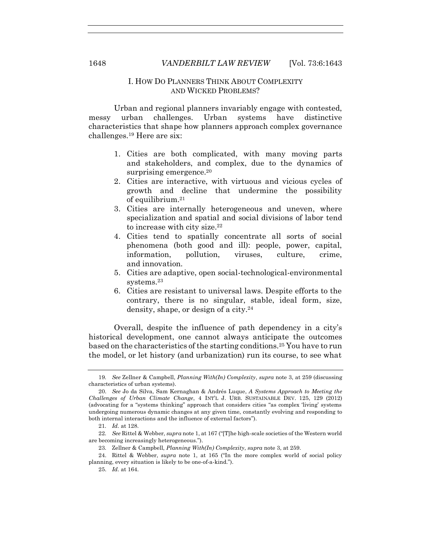# I. HOW DO PLANNERS THINK ABOUT COMPLEXITY AND WICKED PROBLEMS?

Urban and regional planners invariably engage with contested, messy urban challenges. Urban systems have distinctive characteristics that shape how planners approach complex governance challenges.<sup>19</sup> Here are six:

- 1. Cities are both complicated, with many moving parts and stakeholders, and complex, due to the dynamics of surprising emergence.<sup>20</sup>
- <span id="page-5-0"></span>2. Cities are interactive, with virtuous and vicious cycles of growth and decline that undermine the possibility of equilibrium.<sup>21</sup>
- 3. Cities are internally heterogeneous and uneven, where specialization and spatial and social divisions of labor tend to increase with city size.<sup>22</sup>
- 4. Cities tend to spatially concentrate all sorts of social phenomena (both good and ill): people, power, capital, information, pollution, viruses, culture, crime, and innovation.
- 5. Cities are adaptive, open social-technological-environmental systems.<sup>23</sup>
- 6. Cities are resistant to universal laws. Despite efforts to the contrary, there is no singular, stable, ideal form, size, density, shape, or design of a city.<sup>24</sup>

Overall, despite the influence of path dependency in a city's historical development, one cannot always anticipate the outcomes based on the characteristics of the starting conditions.<sup>25</sup> You have to run the model, or let history (and urbanization) run its course, to see what

<sup>19</sup>*. See* Zellner & Campbell, *Planning With(In) Complexity*, *supra* note [3,](#page-2-0) at 259 (discussing characteristics of urban systems).

<sup>20.</sup> *See* Jo da Silva, Sam Kernaghan & Andrés Luque, *A Systems Approach to Meeting the Challenges of Urban Climate Change*, 4 INT'L J. URB. SUSTAINABLE DEV. 125, 129 (2012) (advocating for a "systems thinking" approach that considers cities "as complex 'living' systems undergoing numerous dynamic changes at any given time, constantly evolving and responding to both internal interactions and the influence of external factors").

<sup>21</sup>*. Id.* at 128.

<sup>22</sup>*. See* Rittel & Webber, *supra* not[e 1,](#page-1-0) at 167 ("[T]he high-scale societies of the Western world are becoming increasingly heterogeneous.").

<sup>23</sup>*.* Zellner & Campbell, *Planning With(In) Complexity*, *supra* not[e 3,](#page-2-0) at 259.

<sup>24.</sup> Rittel & Webber, *supra* note [1,](#page-1-0) at 165 ("In the more complex world of social policy planning, every situation is likely to be one-of-a-kind.").

<sup>25.</sup> *Id.* at 164.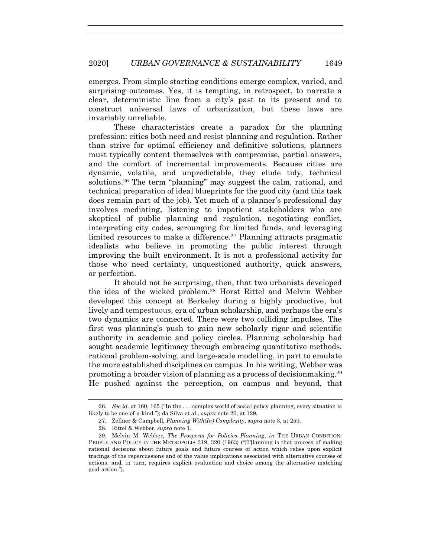emerges. From simple starting conditions emerge complex, varied, and surprising outcomes. Yes, it is tempting, in retrospect, to narrate a clear, deterministic line from a city's past to its present and to construct universal laws of urbanization, but these laws are invariably unreliable.

These characteristics create a paradox for the planning profession: cities both need and resist planning and regulation. Rather than strive for optimal efficiency and definitive solutions, planners must typically content themselves with compromise, partial answers, and the comfort of incremental improvements. Because cities are dynamic, volatile, and unpredictable, they elude tidy, technical solutions.<sup>26</sup> The term "planning" may suggest the calm, rational, and technical preparation of ideal blueprints for the good city (and this task does remain part of the job). Yet much of a planner's professional day involves mediating, listening to impatient stakeholders who are skeptical of public planning and regulation, negotiating conflict, interpreting city codes, scrounging for limited funds, and leveraging limited resources to make a difference.<sup>27</sup> Planning attracts pragmatic idealists who believe in promoting the public interest through improving the built environment. It is not a professional activity for those who need certainty, unquestioned authority, quick answers, or perfection.

It should not be surprising, then, that two urbanists developed the idea of the wicked problem.<sup>28</sup> Horst Rittel and Melvin Webber developed this concept at Berkeley during a highly productive, but lively and tempestuous, era of urban scholarship, and perhaps the era's two dynamics are connected. There were two colliding impulses. The first was planning's push to gain new scholarly rigor and scientific authority in academic and policy circles. Planning scholarship had sought academic legitimacy through embracing quantitative methods, rational problem-solving, and large-scale modelling, in part to emulate the more established disciplines on campus. In his writing, Webber was promoting a broader vision of planning as a process of decisionmaking.<sup>29</sup> He pushed against the perception, on campus and beyond, that

<sup>26.</sup> *See id.* at 160, 165 ("In the . . . complex world of social policy planning, every situation is likely to be one-of-a-kind."); da Silva et al., *supra* note [20,](#page-5-0) at 129.

<sup>27.</sup> Zellner & Campbell, *Planning With(In) Complexity*, *supra* not[e 3,](#page-2-0) at 259.

<sup>28.</sup> Rittel & Webber, *supra* not[e 1.](#page-1-0)

<sup>29.</sup> Melvin M. Webber, *The Prospects for Policies Planning*, *in* THE URBAN CONDITION: PEOPLE AND POLICY IN THE METROPOLIS 319, 320 (1963) ("[P]lanning is that process of making rational decisions about future goals and future courses of action which relies upon explicit tracings of the repercussions and of the value implications associated with alternative courses of actions, and, in turn, requires explicit evaluation and choice among the alternative matching goal-action.").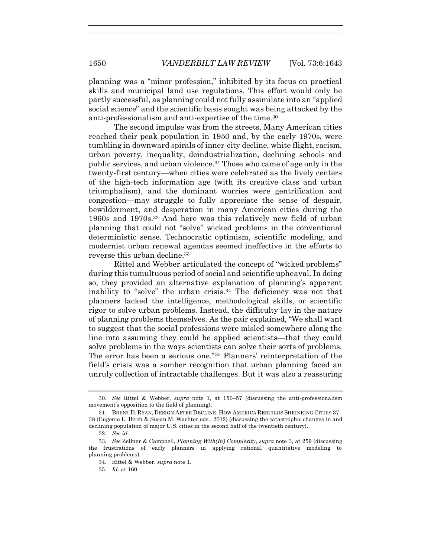planning was a "minor profession," inhibited by its focus on practical skills and municipal land use regulations. This effort would only be partly successful, as planning could not fully assimilate into an "applied social science" and the scientific basis sought was being attacked by the anti-professionalism and anti-expertise of the time.<sup>30</sup>

<span id="page-7-0"></span>The second impulse was from the streets. Many American cities reached their peak population in 1950 and, by the early 1970s, were tumbling in downward spirals of inner-city decline, white flight, racism, urban poverty, inequality, deindustrialization, declining schools and public services, and urban violence.<sup>31</sup> Those who came of age only in the twenty-first century—when cities were celebrated as the lively centers of the high-tech information age (with its creative class and urban triumphalism), and the dominant worries were gentrification and congestion—may struggle to fully appreciate the sense of despair, bewilderment, and desperation in many American cities during the 1960s and 1970s.<sup>32</sup> And here was this relatively new field of urban planning that could not "solve" wicked problems in the conventional deterministic sense. Technocratic optimism, scientific modeling, and modernist urban renewal agendas seemed ineffective in the efforts to reverse this urban decline.<sup>33</sup>

Rittel and Webber articulated the concept of "wicked problems" during this tumultuous period of social and scientific upheaval. In doing so, they provided an alternative explanation of planning's apparent inability to "solve" the urban crisis.<sup>34</sup> The deficiency was not that planners lacked the intelligence, methodological skills, or scientific rigor to solve urban problems. Instead, the difficulty lay in the nature of planning problems themselves. As the pair explained, "We shall want to suggest that the social professions were misled somewhere along the line into assuming they could be applied scientists—that they could solve problems in the ways scientists can solve their sorts of problems. The error has been a serious one."<sup>35</sup> Planners' reinterpretation of the field's crisis was a somber recognition that urban planning faced an unruly collection of intractable challenges. But it was also a reassuring

<sup>30.</sup> *See* Rittel & Webber, *supra* note [1,](#page-1-0) at 156–57 (discussing the anti-professionalism movement's opposition to the field of planning).

<sup>31.</sup> BRENT D. RYAN, DESIGN AFTER DECLINE: HOW AMERICA REBUILDS SHRINKING CITIES 37– 38 (Eugenie L. Birch & Susan M. Wachter eds., 2012) (discussing the catastrophic changes in and declining population of major U.S. cities in the second half of the twentieth century).

<sup>32</sup>*. See id.*

<sup>33</sup>*. See* Zellner & Campbell, *Planning With(In) Complexity*, *supra* note [3,](#page-2-0) at 259 (discussing the frustrations of early planners in applying rational quantitative modeling to planning problems).

<sup>34.</sup> Rittel & Webber, *supra* not[e 1.](#page-1-0)

<sup>35.</sup> *Id.* at 160.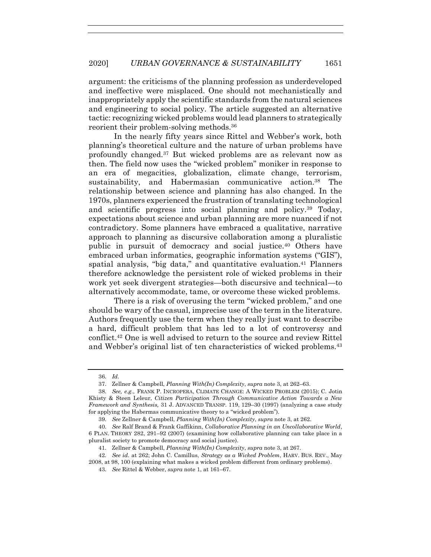argument: the criticisms of the planning profession as underdeveloped and ineffective were misplaced. One should not mechanistically and inappropriately apply the scientific standards from the natural sciences and engineering to social policy. The article suggested an alternative tactic: recognizing wicked problems would lead planners to strategically reorient their problem-solving methods.<sup>36</sup>

In the nearly fifty years since Rittel and Webber's work, both planning's theoretical culture and the nature of urban problems have profoundly changed.<sup>37</sup> But wicked problems are as relevant now as then. The field now uses the "wicked problem" moniker in response to an era of megacities, globalization, climate change, terrorism, sustainability, and Habermasian communicative action.<sup>38</sup> The relationship between science and planning has also changed. In the 1970s, planners experienced the frustration of translating technological and scientific progress into social planning and policy.<sup>39</sup> Today, expectations about science and urban planning are more nuanced if not contradictory. Some planners have embraced a qualitative, narrative approach to planning as discursive collaboration among a pluralistic public in pursuit of democracy and social justice.<sup>40</sup> Others have embraced urban informatics, geographic information systems ("GIS"), spatial analysis, "big data," and quantitative evaluation.<sup>41</sup> Planners therefore acknowledge the persistent role of wicked problems in their work yet seek divergent strategies—both discursive and technical—to alternatively accommodate, tame, or overcome these wicked problems.

There is a risk of overusing the term "wicked problem," and one should be wary of the casual, imprecise use of the term in the literature. Authors frequently use the term when they really just want to describe a hard, difficult problem that has led to a lot of controversy and conflict.<sup>42</sup> One is well advised to return to the source and review Rittel and Webber's original list of ten characteristics of wicked problems.<sup>43</sup>

<sup>36</sup>*. Id.*

<sup>37.</sup> Zellner & Campbell, *Planning With(In) Complexity*, *supra* not[e 3,](#page-2-0) at 262–63.

<sup>38</sup>*. See, e.g.*, FRANK P. INCROPERA, CLIMATE CHANGE: A WICKED PROBLEM (2015); C. Jotin Khisty & Steen Leleur, *Citizen Participation Through Communicative Action Towards a New Framework and Synthesis,* 31 J. ADVANCED TRANSP. 119, 129–30 (1997) (analyzing a case study for applying the Habermas communicative theory to a "wicked problem").

<sup>39</sup>*. See* Zellner & Campbell, *Planning With(In) Complexity*, *supra* note [3,](#page-2-0) at 262.

<sup>40</sup>*. See* Ralf Brand & Frank Gaffikinn, *Collaborative Planning in an Uncollaborative World*, 6 PLAN. THEORY 282, 291–92 (2007) (examining how collaborative planning can take place in a pluralist society to promote democracy and social justice).

<sup>41</sup>*.* Zellner & Campbell, *Planning With(In) Complexity*, *supra* not[e 3,](#page-2-0) at 267.

<sup>42</sup>*. See id.* at 262; John C. Camillus, *Strategy as a Wicked Problem*, HARV. BUS. REV., May 2008, at 98, 100 (explaining what makes a wicked problem different from ordinary problems).

<sup>43</sup>*. See* Rittel & Webber, *supra* note [1,](#page-1-0) at 161–67.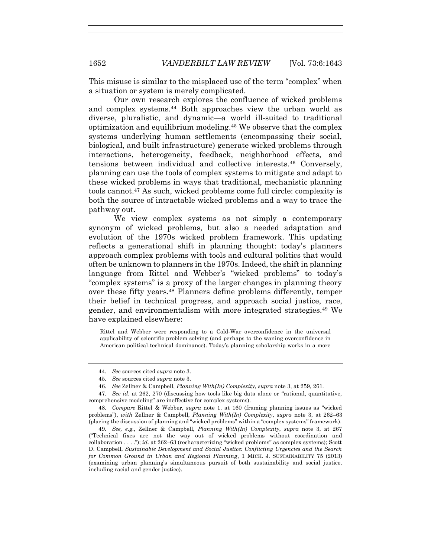This misuse is similar to the misplaced use of the term "complex" when a situation or system is merely complicated.

Our own research explores the confluence of wicked problems and complex systems.<sup>44</sup> Both approaches view the urban world as diverse, pluralistic, and dynamic—a world ill-suited to traditional optimization and equilibrium modeling.<sup>45</sup> We observe that the complex systems underlying human settlements (encompassing their social, biological, and built infrastructure) generate wicked problems through interactions, heterogeneity, feedback, neighborhood effects, and tensions between individual and collective interests.<sup>46</sup> Conversely, planning can use the tools of complex systems to mitigate and adapt to these wicked problems in ways that traditional, mechanistic planning tools cannot.<sup>47</sup> As such, wicked problems come full circle: complexity is both the source of intractable wicked problems and a way to trace the pathway out.

We view complex systems as not simply a contemporary synonym of wicked problems, but also a needed adaptation and evolution of the 1970s wicked problem framework. This updating reflects a generational shift in planning thought: today's planners approach complex problems with tools and cultural politics that would often be unknown to planners in the 1970s. Indeed, the shift in planning language from Rittel and Webber's "wicked problems" to today's "complex systems" is a proxy of the larger changes in planning theory over these fifty years.<sup>48</sup> Planners define problems differently, temper their belief in technical progress, and approach social justice, race, gender, and environmentalism with more integrated strategies.<sup>49</sup> We have explained elsewhere:

<span id="page-9-0"></span>Rittel and Webber were responding to a Cold-War overconfidence in the universal applicability of scientific problem solving (and perhaps to the waning overconfidence in American political-technical dominance). Today's planning scholarship works in a more

49*. See, e.g.*, Zellner & Campbell, *Planning With(In) Complexity*, *supra* note [3,](#page-2-0) at 267 ("Technical fixes are not the way out of wicked problems without coordination and collaboration . . . ."); *id.* at 262–63 (recharacterizing "wicked problems" as complex systems); Scott D. Campbell, *Sustainable Development and Social Justice: Conflicting Urgencies and the Search for Common Ground in Urban and Regional Planning*, 1 MICH. J. SUSTAINABILITY 75 (2013) (examining urban planning's simultaneous pursuit of both sustainability and social justice, including racial and gender justice).

<sup>44</sup>*. See* sources cited *supra* note [3.](#page-2-0)

<sup>45</sup>*. See* sources cited *supra* note [3.](#page-2-0)

<sup>46</sup>*. See* Zellner & Campbell, *Planning With(In) Complexity*, *supra* note [3,](#page-2-0) at 259, 261.

<sup>47</sup>*. See id.* at 262, 270 (discussing how tools like big data alone or "rational, quantitative, comprehensive modeling" are ineffective for complex systems).

<sup>48</sup>*. Compare* Rittel & Webber, *supra* note [1](#page-1-0), at 160 (framing planning issues as "wicked problems"), *with* Zellner & Campbell, *Planning With(In) Complexity*, *supra* note [3,](#page-2-0) at 262–63 (placing the discussion of planning and "wicked problems" within a "complex systems" framework).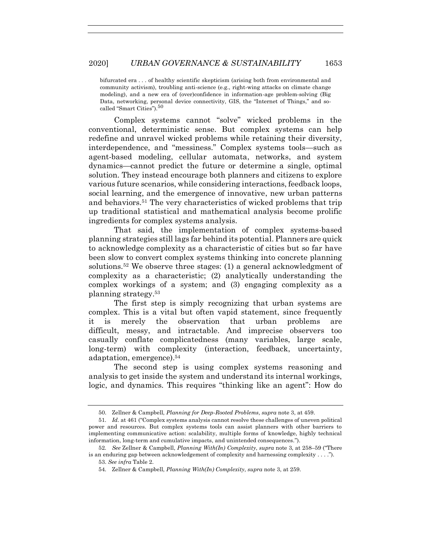bifurcated era . . . of healthy scientific skepticism (arising both from environmental and community activism), troubling anti-science (e.g., right-wing attacks on climate change modeling), and a new era of (over)confidence in information-age problem-solving (Big Data, networking, personal device connectivity, GIS, the "Internet of Things," and socalled "Smart Cities").<sup>50</sup>

Complex systems cannot "solve" wicked problems in the conventional, deterministic sense. But complex systems can help redefine and unravel wicked problems while retaining their diversity, interdependence, and "messiness." Complex systems tools—such as agent-based modeling, cellular automata, networks, and system dynamics—cannot predict the future or determine a single, optimal solution. They instead encourage both planners and citizens to explore various future scenarios, while considering interactions, feedback loops, social learning, and the emergence of innovative, new urban patterns and behaviors.<sup>51</sup> The very characteristics of wicked problems that trip up traditional statistical and mathematical analysis become prolific ingredients for complex systems analysis.

That said, the implementation of complex systems-based planning strategies still lags far behind its potential. Planners are quick to acknowledge complexity as a characteristic of cities but so far have been slow to convert complex systems thinking into concrete planning solutions.<sup>52</sup> We observe three stages: (1) a general acknowledgment of complexity as a characteristic; (2) analytically understanding the complex workings of a system; and (3) engaging complexity as a planning strategy.<sup>53</sup>

The first step is simply recognizing that urban systems are complex. This is a vital but often vapid statement, since frequently it is merely the observation that urban problems are difficult, messy, and intractable. And imprecise observers too casually conflate complicatedness (many variables, large scale, long-term) with complexity (interaction, feedback, uncertainty, adaptation, emergence).<sup>54</sup>

The second step is using complex systems reasoning and analysis to get inside the system and understand its internal workings, logic, and dynamics. This requires "thinking like an agent": How do

<sup>50.</sup> Zellner & Campbell, *Planning for Deep-Rooted Problems*, *supra* not[e 3,](#page-2-0) at 459.

<sup>51</sup>*. Id.* at 461 ("Complex systems analysis cannot resolve these challenges of uneven political power and resources. But complex systems tools can assist planners with other barriers to implementing communicative action: scalability, multiple forms of knowledge, highly technical information, long-term and cumulative impacts, and unintended consequences.").

<sup>52</sup>*. See* Zellner & Campbell, *Planning With(In) Complexity*, *supra* note [3,](#page-2-0) at 258–59 ("There is an enduring gap between acknowledgement of complexity and harnessing complexity . . . .").

<sup>53.</sup> *See infra* Table 2.

<sup>54</sup>*.* Zellner & Campbell, *Planning With(In) Complexity*, *supra* not[e 3,](#page-2-0) at 259.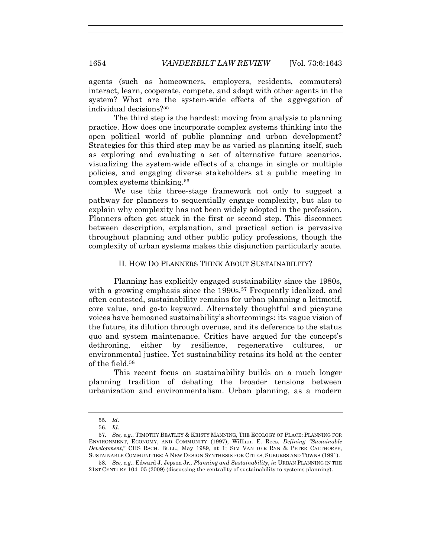agents (such as homeowners, employers, residents, commuters) interact, learn, cooperate, compete, and adapt with other agents in the system? What are the system-wide effects of the aggregation of individual decisions?<sup>55</sup>

The third step is the hardest: moving from analysis to planning practice. How does one incorporate complex systems thinking into the open political world of public planning and urban development? Strategies for this third step may be as varied as planning itself, such as exploring and evaluating a set of alternative future scenarios, visualizing the system-wide effects of a change in single or multiple policies, and engaging diverse stakeholders at a public meeting in complex systems thinking.<sup>56</sup>

We use this three-stage framework not only to suggest a pathway for planners to sequentially engage complexity, but also to explain why complexity has not been widely adopted in the profession. Planners often get stuck in the first or second step. This disconnect between description, explanation, and practical action is pervasive throughout planning and other public policy professions, though the complexity of urban systems makes this disjunction particularly acute.

### II. HOW DO PLANNERS THINK ABOUT SUSTAINABILITY?

Planning has explicitly engaged sustainability since the 1980s, with a growing emphasis since the 1990s.<sup>57</sup> Frequently idealized, and often contested, sustainability remains for urban planning a leitmotif, core value, and go-to keyword. Alternately thoughtful and picayune voices have bemoaned sustainability's shortcomings: its vague vision of the future, its dilution through overuse, and its deference to the status quo and system maintenance. Critics have argued for the concept's dethroning, either by resilience, regenerative cultures, or environmental justice. Yet sustainability retains its hold at the center of the field.<sup>58</sup>

This recent focus on sustainability builds on a much longer planning tradition of debating the broader tensions between urbanization and environmentalism. Urban planning, as a modern

<sup>55</sup>*. Id.*

<sup>56</sup>*. Id.*

<sup>57</sup>*. See, e.g.*, TIMOTHY BEATLEY & KRISTY MANNING, THE ECOLOGY OF PLACE: PLANNING FOR ENVIRONMENT, ECONOMY, AND COMMUNITY (1997); William E. Rees, *Defining "Sustainable Development*," CHS RSCH. BULL., May 1989, at 1; SIM VAN DER RYN & PETER CALTHORPE, SUSTAINABLE COMMUNITIES: A NEW DESIGN SYNTHESIS FOR CITIES, SUBURBS AND TOWNS (1991).

<sup>58</sup>*. See, e.g.*, Edward J. Jepson Jr., *Planning and Sustainability*, *in* URBAN PLANNING IN THE 21ST CENTURY 104–05 (2009) (discussing the centrality of sustainability to systems planning).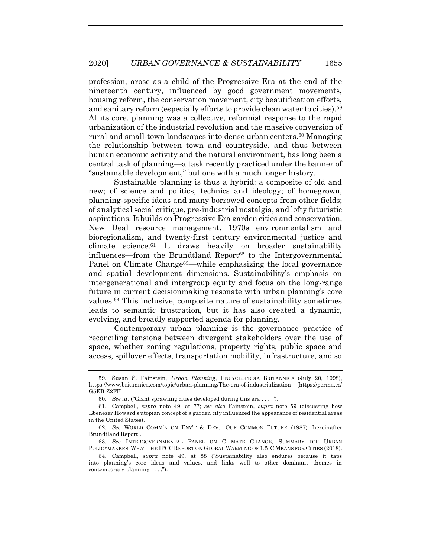<span id="page-12-0"></span>profession, arose as a child of the Progressive Era at the end of the nineteenth century, influenced by good government movements, housing reform, the conservation movement, city beautification efforts, and sanitary reform (especially efforts to provide clean water to cities).<sup>59</sup> At its core, planning was a collective, reformist response to the rapid urbanization of the industrial revolution and the massive conversion of rural and small-town landscapes into dense urban centers.<sup>60</sup> Managing the relationship between town and countryside, and thus between human economic activity and the natural environment, has long been a central task of planning—a task recently practiced under the banner of "sustainable development," but one with a much longer history.

Sustainable planning is thus a hybrid: a composite of old and new; of science and politics, technics and ideology; of homegrown, planning-specific ideas and many borrowed concepts from other fields; of analytical social critique, pre-industrial nostalgia, and lofty futuristic aspirations. It builds on Progressive Era garden cities and conservation, New Deal resource management, 1970s environmentalism and bioregionalism, and twenty-first century environmental justice and climate science.<sup>61</sup> It draws heavily on broader sustainability influences—from the Brundtland Report<sup>62</sup> to the Intergovernmental Panel on Climate Change<sup>63</sup>—while emphasizing the local governance and spatial development dimensions. Sustainability's emphasis on intergenerational and intergroup equity and focus on the long-range future in current decisionmaking resonate with urban planning's core values.<sup>64</sup> This inclusive, composite nature of sustainability sometimes leads to semantic frustration, but it has also created a dynamic, evolving, and broadly supported agenda for planning.

<span id="page-12-1"></span>Contemporary urban planning is the governance practice of reconciling tensions between divergent stakeholders over the use of space, whether zoning regulations, property rights, public space and access, spillover effects, transportation mobility, infrastructure, and so

<sup>59</sup>*.* Susan S. Fainstein, *Urban Planning*, ENCYCLOPEDIA BRITANNICA (July 20, 1998), https://www.britannica.com/topic/urban-planning/The-era-of-industrialization [https://perma.cc/ G5EB-Z2FF].

<sup>60</sup>*. See id.* ("Giant sprawling cities developed during this era . . . .").

<sup>61.</sup> Campbell, *supra* note [49,](#page-9-0) at 77; *see also* Fainstein, *supra* note [59](#page-12-0) (discussing how Ebenezer Howard's utopian concept of a garden city influenced the appearance of residential areas in the United States).

<sup>62</sup>*. See* WORLD COMM'N ON ENV'T & DEV., OUR COMMON FUTURE (1987) [hereinafter Brundtland Report].

<sup>63</sup>*. See* INTERGOVERNMENTAL PANEL ON CLIMATE CHANGE, SUMMARY FOR URBAN POLICYMAKERS: WHAT THE IPCC REPORT ON GLOBAL WARMING OF 1.5 C MEANS FOR CITIES (2018).

<sup>64.</sup> Campbell, *supra* note [49,](#page-9-0) at 88 ("Sustainability also endures because it taps into planning's core ideas and values, and links well to other dominant themes in contemporary planning . . . .").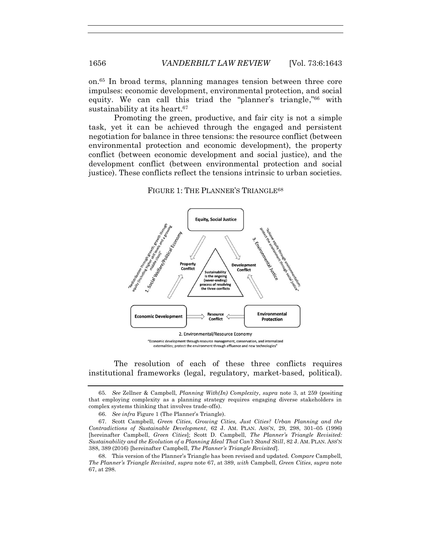on.<sup>65</sup> In broad terms, planning manages tension between three core impulses: economic development, environmental protection, and social equity. We can call this triad the "planner's triangle,"<sup>66</sup> with sustainability at its heart.<sup>67</sup>

Promoting the green, productive, and fair city is not a simple task, yet it can be achieved through the engaged and persistent negotiation for balance in three tensions: the resource conflict (between environmental protection and economic development), the property conflict (between economic development and social justice), and the development conflict (between environmental protection and social justice). These conflicts reflect the tensions intrinsic to urban societies.

<span id="page-13-1"></span><span id="page-13-0"></span>FIGURE 1: THE PLANNER'S TRIANGLE<sup>68</sup>



The resolution of each of these three conflicts requires institutional frameworks (legal, regulatory, market-based, political).

<sup>65</sup>*. See* Zellner & Campbell, *Planning With(In) Complexity*, *supra* note [3,](#page-2-0) at 259 (positing that employing complexity as a planning strategy requires engaging diverse stakeholders in complex systems thinking that involves trade-offs).

<sup>66.</sup> *See infra* Figure 1 (The Planner's Triangle).

<sup>67.</sup> Scott Campbell, *Green Cities, Growing Cities, Just Cities? Urban Planning and the Contradictions of Sustainable Development*, 62 J. AM. PLAN. ASS'N, 29, 298, 301–05 (1996) [hereinafter Campbell, *Green Cities*]; Scott D. Campbell, *The Planner's Triangle Revisited: Sustainability and the Evolution of a Planning Ideal That Can't Stand Still*, 82 J. AM. PLAN. ASS'N 388, 389 (2016) [hereinafter Campbell, *The Planner's Triangle Revisited*].

<sup>68.</sup> This version of the Planner's Triangle has been revised and updated. *Compare* Campbell, *The Planner's Triangle Revisited*, *supra* note [67,](#page-13-0) at 389, *with* Campbell, *Green Cities*, *supra* note [67,](#page-13-0) at 298.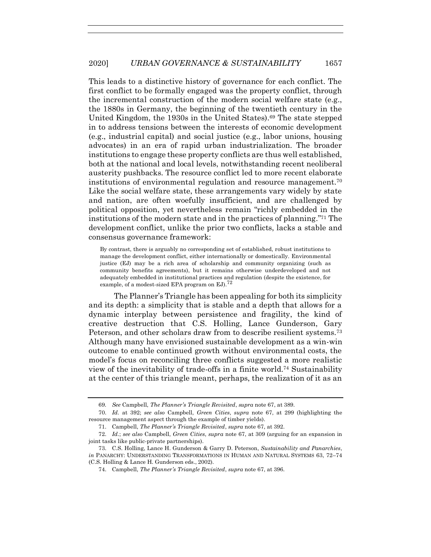This leads to a distinctive history of governance for each conflict. The first conflict to be formally engaged was the property conflict, through the incremental construction of the modern social welfare state (e.g., the 1880s in Germany, the beginning of the twentieth century in the United Kingdom, the 1930s in the United States).<sup>69</sup> The state stepped in to address tensions between the interests of economic development (e.g., industrial capital) and social justice (e.g., labor unions, housing advocates) in an era of rapid urban industrialization. The broader institutions to engage these property conflicts are thus well established, both at the national and local levels, notwithstanding recent neoliberal austerity pushbacks. The resource conflict led to more recent elaborate institutions of environmental regulation and resource management.<sup>70</sup> Like the social welfare state, these arrangements vary widely by state and nation, are often woefully insufficient, and are challenged by political opposition, yet nevertheless remain "richly embedded in the institutions of the modern state and in the practices of planning." <sup>71</sup> The development conflict, unlike the prior two conflicts, lacks a stable and consensus governance framework:

By contrast, there is arguably no corresponding set of established, robust institutions to manage the development conflict, either internationally or domestically. Environmental justice (EJ) may be a rich area of scholarship and community organizing (such as community benefits agreements), but it remains otherwise underdeveloped and not adequately embedded in institutional practices and regulation (despite the existence, for example, of a modest-sized EPA program on EJ).<sup>72</sup>

The Planner's Triangle has been appealing for both its simplicity and its depth: a simplicity that is stable and a depth that allows for a dynamic interplay between persistence and fragility, the kind of creative destruction that C.S. Holling, Lance Gunderson, Gary Peterson, and other scholars draw from to describe resilient systems.<sup>73</sup> Although many have envisioned sustainable development as a win-win outcome to enable continued growth without environmental costs, the model's focus on reconciling three conflicts suggested a more realistic view of the inevitability of trade-offs in a finite world.<sup>74</sup> Sustainability at the center of this triangle meant, perhaps, the realization of it as an

<sup>69</sup>*. See* Campbell, *The Planner's Triangle Revisited*, *supra* not[e 67,](#page-13-0) at 389.

<sup>70.</sup> *Id.* at 392; *see also* Campbell, *Green Cities*, *supra* note [67,](#page-13-0) at 299 (highlighting the resource management aspect through the example of timber yields).

<sup>71.</sup> Campbell, *The Planner's Triangle Revisited*, *supra* not[e 67,](#page-13-0) at 392.

<sup>72.</sup> *Id.*; *see also* Campbell, *Green Cities*, *supra* note [67,](#page-13-0) at 309 (arguing for an expansion in joint tasks like public-private partnerships).

<sup>73.</sup> C.S. Holling, Lance H. Gunderson & Garry D. Peterson, *Sustainability and Panarchies*, *in* PANARCHY: UNDERSTANDING TRANSFORMATIONS IN HUMAN AND NATURAL SYSTEMS 63, 72–74 (C.S. Holling & Lance H. Gunderson eds., 2002).

<sup>74.</sup> Campbell, *The Planner's Triangle Revisited*, *supra* not[e 67,](#page-13-0) at 396.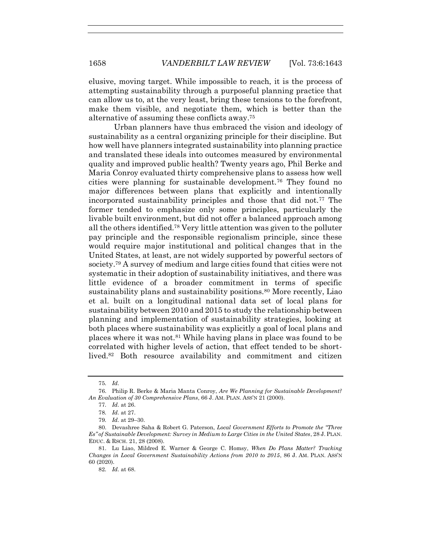elusive, moving target. While impossible to reach, it is the process of attempting sustainability through a purposeful planning practice that can allow us to, at the very least, bring these tensions to the forefront, make them visible, and negotiate them, which is better than the alternative of assuming these conflicts away.<sup>75</sup>

<span id="page-15-1"></span>Urban planners have thus embraced the vision and ideology of sustainability as a central organizing principle for their discipline. But how well have planners integrated sustainability into planning practice and translated these ideals into outcomes measured by environmental quality and improved public health? Twenty years ago, Phil Berke and Maria Conroy evaluated thirty comprehensive plans to assess how well cities were planning for sustainable development.<sup>76</sup> They found no major differences between plans that explicitly and intentionally incorporated sustainability principles and those that did not.<sup>77</sup> The former tended to emphasize only some principles, particularly the livable built environment, but did not offer a balanced approach among all the others identified.<sup>78</sup> Very little attention was given to the polluter pay principle and the responsible regionalism principle, since these would require major institutional and political changes that in the United States, at least, are not widely supported by powerful sectors of society.<sup>79</sup> A survey of medium and large cities found that cities were not systematic in their adoption of sustainability initiatives, and there was little evidence of a broader commitment in terms of specific sustainability plans and sustainability positions.<sup>80</sup> More recently, Liao et al. built on a longitudinal national data set of local plans for sustainability between 2010 and 2015 to study the relationship between planning and implementation of sustainability strategies, looking at both places where sustainability was explicitly a goal of local plans and places where it was not.<sup>81</sup> While having plans in place was found to be correlated with higher levels of action, that effect tended to be shortlived.<sup>82</sup> Both resource availability and commitment and citizen

<span id="page-15-0"></span><sup>75</sup>*. Id.*

<sup>76.</sup> Philip R. Berke & Maria Manta Conroy, *Are We Planning for Sustainable Development? An Evaluation of 30 Comprehensive Plans*, 66 J. AM. PLAN. ASS'N 21 (2000).

<sup>77</sup>*. Id.* at 26.

<sup>78</sup>*. Id.* at 27.

<sup>79</sup>*. Id.* at 29–30.

<sup>80.</sup> Devashree Saha & Robert G. Paterson, *Local Government Efforts to Promote the "Three Es" of Sustainable Development: Survey in Medium to Large Cities in the United States*, 28 J. PLAN. EDUC. & RSCH. 21, 28 (2008).

<sup>81.</sup> Lu Liao, Mildred E. Warner & George C. Homsy, *When Do Plans Matter? Tracking Changes in Local Government Sustainability Actions from 2010 to 2015*, 86 J. AM. PLAN. ASS'N 60 (2020).

<sup>82</sup>*. Id.* at 68.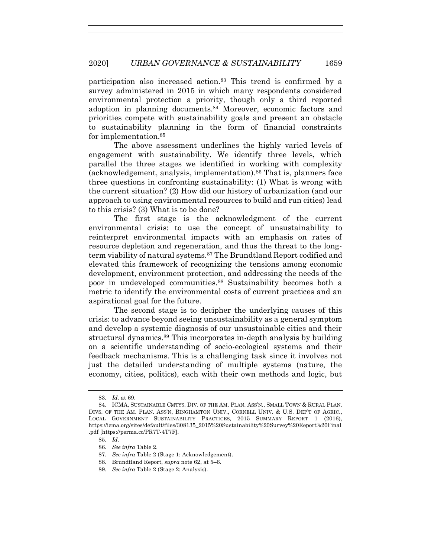participation also increased action.<sup>83</sup> This trend is confirmed by a survey administered in 2015 in which many respondents considered environmental protection a priority, though only a third reported adoption in planning documents.<sup>84</sup> Moreover, economic factors and priorities compete with sustainability goals and present an obstacle to sustainability planning in the form of financial constraints for implementation.<sup>85</sup>

The above assessment underlines the highly varied levels of engagement with sustainability. We identify three levels, which parallel the three stages we identified in working with complexity (acknowledgement, analysis, implementation).<sup>86</sup> That is, planners face three questions in confronting sustainability: (1) What is wrong with the current situation? (2) How did our history of urbanization (and our approach to using environmental resources to build and run cities) lead to this crisis? (3) What is to be done?

The first stage is the acknowledgment of the current environmental crisis: to use the concept of unsustainability to reinterpret environmental impacts with an emphasis on rates of resource depletion and regeneration, and thus the threat to the longterm viability of natural systems.<sup>87</sup> The Brundtland Report codified and elevated this framework of recognizing the tensions among economic development, environment protection, and addressing the needs of the poor in undeveloped communities.<sup>88</sup> Sustainability becomes both a metric to identify the environmental costs of current practices and an aspirational goal for the future.

The second stage is to decipher the underlying causes of this crisis: to advance beyond seeing unsustainability as a general symptom and develop a systemic diagnosis of our unsustainable cities and their structural dynamics.<sup>89</sup> This incorporates in-depth analysis by building on a scientific understanding of socio-ecological systems and their feedback mechanisms. This is a challenging task since it involves not just the detailed understanding of multiple systems (nature, the economy, cities, politics), each with their own methods and logic, but

<sup>83</sup>*. Id.* at 69.

<sup>84.</sup> ICMA, SUSTAINABLE CMTYS. DIV. OF THE AM. PLAN. ASS'N., SMALL TOWN & RURAL PLAN. DIVS. OF THE AM. PLAN. ASS'N, BINGHAMTON UNIV., CORNELL UNIV. & U.S. DEP'T OF AGRIC., LOCAL GOVERNMENT SUSTAINABILITY PRACTICES, 2015 SUMMARY REPORT 1 (2016), https://icma.org/sites/default/files/308135\_2015%20Sustainability%20Survey%20Report%20Final .pdf [https://perma.cc/PR7T-4T7F].

<sup>85</sup>*. Id.* 

<sup>86</sup>*. See infra* Table 2.

<sup>87</sup>*. See infra* Table 2 (Stage 1: Acknowledgement).

<sup>88.</sup> Brundtland Report, *supra* not[e 62,](#page-12-1) at 5–6.

<sup>89</sup>*. See infra* Table 2 (Stage 2: Analysis).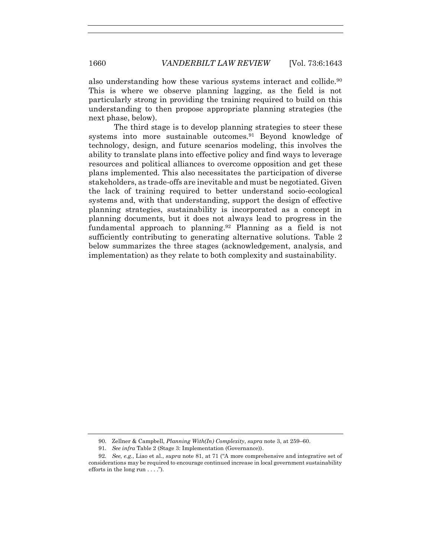also understanding how these various systems interact and collide.<sup>90</sup> This is where we observe planning lagging, as the field is not particularly strong in providing the training required to build on this understanding to then propose appropriate planning strategies (the next phase, below).

The third stage is to develop planning strategies to steer these systems into more sustainable outcomes.<sup>91</sup> Beyond knowledge of technology, design, and future scenarios modeling, this involves the ability to translate plans into effective policy and find ways to leverage resources and political alliances to overcome opposition and get these plans implemented. This also necessitates the participation of diverse stakeholders, as trade-offs are inevitable and must be negotiated. Given the lack of training required to better understand socio-ecological systems and, with that understanding, support the design of effective planning strategies, sustainability is incorporated as a concept in planning documents, but it does not always lead to progress in the fundamental approach to planning.<sup>92</sup> Planning as a field is not sufficiently contributing to generating alternative solutions. Table 2 below summarizes the three stages (acknowledgement, analysis, and implementation) as they relate to both complexity and sustainability.

<sup>90.</sup> Zellner & Campbell, *Planning With(In) Complexity*, *supra* not[e 3,](#page-2-0) at 259–60.

<sup>91</sup>*. See infra* Table 2 (Stage 3: Implementation (Governance)).

<sup>92</sup>*. See, e.g.*, Liao et al., *supra* note [81,](#page-15-0) at 71 ("A more comprehensive and integrative set of considerations may be required to encourage continued increase in local government sustainability efforts in the long run . . . .").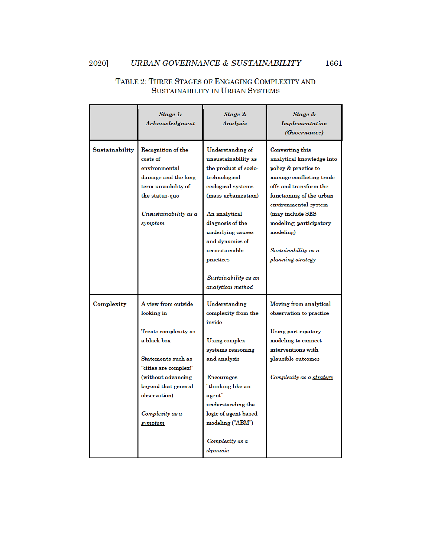#### 2020] URBAN GOVERNANCE & SUSTAINABILITY

# TABLE 2: THREE STAGES OF ENGAGING COMPLEXITY AND SUSTAINABILITY IN URBAN SYSTEMS

|                | Stage 1:<br>Acknowledgment                                                                                                                                                                                          | <b>Stage 2:</b><br>Analysis                                                                                                                                                                                                                                                                    | Stage 3:<br>Implementation<br><i>(Governance)</i>                                                                                                                                                                                                                                       |
|----------------|---------------------------------------------------------------------------------------------------------------------------------------------------------------------------------------------------------------------|------------------------------------------------------------------------------------------------------------------------------------------------------------------------------------------------------------------------------------------------------------------------------------------------|-----------------------------------------------------------------------------------------------------------------------------------------------------------------------------------------------------------------------------------------------------------------------------------------|
| Sustainability | Recognition of the<br>costs of<br>environmental<br>damage and the long-<br>term unviability of<br>the status-quo<br>Unsustainability as a<br>symptom                                                                | <b>Understanding of</b><br>unsustainability as<br>the product of socio-<br>technological-<br>ecological systems<br>(mass urbanization)<br>An analytical<br>diagnosis of the<br>underlying causes<br>and dynamics of<br>unsustainable<br>practices<br>Sustainability as an<br>analytical method | Converting this<br>analytical knowledge into<br>policy & practice to<br>manage conflicting trade-<br>offs and transform the<br>functioning of the urban<br>environmental system<br>(may include SES<br>modeling; participatory<br>modeling)<br>Sustainability as a<br>planning strategy |
| Complexity     | A view from outside<br>looking in<br>Treats complexity as<br>a black box<br>Statements such as<br>"cities are complex!"<br>(without advancing)<br>beyond that general<br>observation)<br>Complexity as a<br>symptom | Understanding<br>complexity from the<br>inside<br>Using complex<br>systems reasoning<br>and analysis<br><b>Encourages</b><br>"thinking like an<br>agent"—<br>understanding the<br>logic of agent based<br>modeling ("ABM")<br>Complexity as a<br>$d$ ynamic                                    | Moving from analytical<br>observation to practice<br>Using participatory<br>modeling to connect<br>interventions with<br>plausible outcomes<br>Complexity as a strategy                                                                                                                 |

1661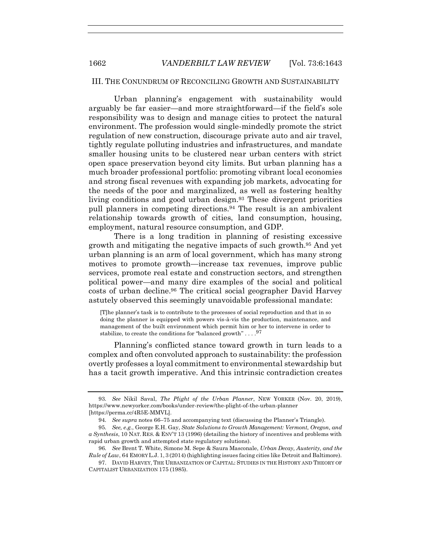# III. THE CONUNDRUM OF RECONCILING GROWTH AND SUSTAINABILITY

Urban planning's engagement with sustainability would arguably be far easier—and more straightforward—if the field's sole responsibility was to design and manage cities to protect the natural environment. The profession would single-mindedly promote the strict regulation of new construction, discourage private auto and air travel, tightly regulate polluting industries and infrastructures, and mandate smaller housing units to be clustered near urban centers with strict open space preservation beyond city limits. But urban planning has a much broader professional portfolio: promoting vibrant local economies and strong fiscal revenues with expanding job markets, advocating for the needs of the poor and marginalized, as well as fostering healthy living conditions and good urban design.<sup>93</sup> These divergent priorities pull planners in competing directions.<sup>94</sup> The result is an ambivalent relationship towards growth of cities, land consumption, housing, employment, natural resource consumption, and GDP.

There is a long tradition in planning of resisting excessive growth and mitigating the negative impacts of such growth.<sup>95</sup> And yet urban planning is an arm of local government, which has many strong motives to promote growth—increase tax revenues, improve public services, promote real estate and construction sectors, and strengthen political power—and many dire examples of the social and political costs of urban decline.<sup>96</sup> The critical social geographer David Harvey astutely observed this seemingly unavoidable professional mandate:

[T]he planner's task is to contribute to the processes of social reproduction and that in so doing the planner is equipped with powers vis-à-vis the production, maintenance, and management of the built environment which permit him or her to intervene in order to stabilize, to create the conditions for "balanced growth" . . .  $^{97}$ 

Planning's conflicted stance toward growth in turn leads to a complex and often convoluted approach to sustainability: the profession overtly professes a loyal commitment to environmental stewardship but has a tacit growth imperative. And this intrinsic contradiction creates

<sup>93</sup>*. See* Nikil Saval, *The Plight of the Urban Planner*, NEW YORKER (Nov. 20, 2019), https://www.newyorker.com/books/under-review/the-plight-of-the-urban-planner [https://perma.cc/4R5E-MMVL].

<sup>94</sup>*. See supra* notes [66](#page-13-1)–[75](#page-15-1) and accompanying text (discussing the Planner's Triangle).

<sup>95</sup>*. See, e.g.*, George E.H. Gay, *State Solutions to Growth Management: Vermont, Oregon, and a Synthesis*, 10 NAT. RES. & ENV'T 13 (1996) (detailing the history of incentives and problems with rapid urban growth and attempted state regulatory solutions).

<sup>96</sup>*. See* Brent T. White, Simone M. Sepe & Saura Masconale, *Urban Decay, Austerity, and the Rule of Law*, 64 EMORY L.J. 1, 3 (2014) (highlighting issues facing cities like Detroit and Baltimore).

<sup>97.</sup> DAVID HARVEY, THE URBANIZATION OF CAPITAL: STUDIES IN THE HISTORY AND THEORY OF CAPITALIST URBANIZATION 175 (1985).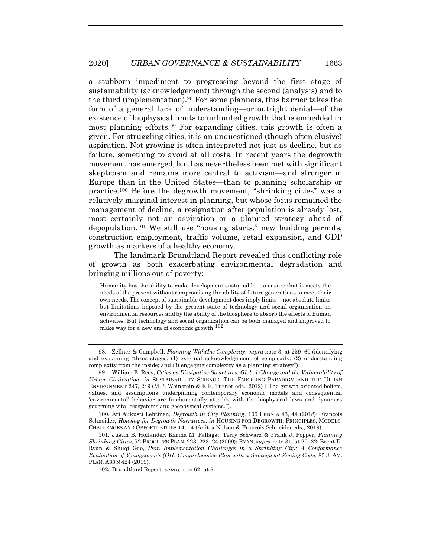a stubborn impediment to progressing beyond the first stage of sustainability (acknowledgement) through the second (analysis) and to the third (implementation).<sup>98</sup> For some planners, this barrier takes the form of a general lack of understanding—or outright denial—of the existence of biophysical limits to unlimited growth that is embedded in most planning efforts.<sup>99</sup> For expanding cities, this growth is often a given. For struggling cities, it is an unquestioned (though often elusive) aspiration. Not growing is often interpreted not just as decline, but as failure, something to avoid at all costs. In recent years the degrowth movement has emerged, but has nevertheless been met with significant skepticism and remains more central to activism—and stronger in Europe than in the United States—than to planning scholarship or practice.<sup>100</sup> Before the degrowth movement, "shrinking cities" was a relatively marginal interest in planning, but whose focus remained the management of decline, a resignation after population is already lost, most certainly not an aspiration or a planned strategy ahead of depopulation.<sup>101</sup> We still use "housing starts," new building permits, construction employment, traffic volume, retail expansion, and GDP growth as markers of a healthy economy.

The landmark Brundtland Report revealed this conflicting role of growth as both exacerbating environmental degradation and bringing millions out of poverty:

Humanity has the ability to make development sustainable—to ensure that it meets the needs of the present without compromising the ability of future generations to meet their own needs. The concept of sustainable development does imply limits—not absolute limits but limitations imposed by the present state of technology and social organization on environmental resources and by the ability of the biosphere to absorb the effects of human activities. But technology and social organization can be both managed and improved to make way for a new era of economic growth.<sup>102</sup>

100. Ari Aukusti Lehtinen, *Degrowth in City Planning*, 196 FENNIA 43, 44 (2018); François Schneider, *Housing for Degrowth Narratives*, *in* HOUSING FOR DEGROWTH: PRINCIPLES, MODELS, CHALLENGES AND OPPORTUNITIES 14, 14 (Anitra Nelson & François Schneider eds., 2019).

101. Justin B. Hollander, Karina M. Pallagst, Terry Schwarz & Frank J. Popper, *Planning Shrinking Cities*, 72 PROGRESS PLAN. 223, 223–24 (2009); RYAN, *supra* note [31,](#page-7-0) at 20–22; Brent D. Ryan & Shuqi Gao, *Plan Implementation Challenges in a Shrinking City: A Conformance Evaluation of Youngstown's (OH) Comprehensive Plan with a Subsequent Zoning Code*, 85 J. AM. PLAN. ASS'N 424 (2019).

102. Brundtland Report, *supra* not[e 62,](#page-12-1) at 8.

<sup>98.</sup> Zellner & Campbell, *Planning With(In) Complexity*, *supra* note [3,](#page-2-0) at 259–60 (identifying and explaining "three stages: (1) external acknowledgement of complexity; (2) understanding complexity from the inside; and (3) engaging complexity as a planning strategy").

<sup>99.</sup> William E. Rees, *Cities as Dissipative Structures: Global Change and the Vulnerability of Urban Civilization*, *in* SUSTAINABILITY SCIENCE: THE EMERGING PARADIGM AND THE URBAN ENVIRONMENT 247, 249 (M.P. Weinstein & R.E. Turner eds., 2012) ("The growth-oriented beliefs, values, and assumptions underpinning contemporary economic models and consequential 'environmental' behavior are fundamentally at odds with the biophysical laws and dynamics governing vital ecosystems and geophysical systems.").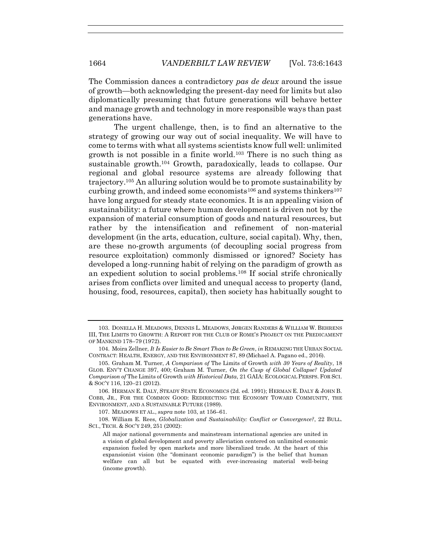The Commission dances a contradictory *pas de deux* around the issue of growth—both acknowledging the present-day need for limits but also diplomatically presuming that future generations will behave better and manage growth and technology in more responsible ways than past generations have.

<span id="page-21-0"></span>The urgent challenge, then, is to find an alternative to the strategy of growing our way out of social inequality. We will have to come to terms with what all systems scientists know full well: unlimited growth is not possible in a finite world.<sup>103</sup> There is no such thing as sustainable growth.<sup>104</sup> Growth, paradoxically, leads to collapse. Our regional and global resource systems are already following that trajectory.<sup>105</sup> An alluring solution would be to promote sustainability by curbing growth, and indeed some economists<sup>106</sup> and systems thinkers<sup>107</sup> have long argued for steady state economics. It is an appealing vision of sustainability: a future where human development is driven not by the expansion of material consumption of goods and natural resources, but rather by the intensification and refinement of non-material development (in the arts, education, culture, social capital). Why, then, are these no-growth arguments (of decoupling social progress from resource exploitation) commonly dismissed or ignored? Society has developed a long-running habit of relying on the paradigm of growth as an expedient solution to social problems.<sup>108</sup> If social strife chronically arises from conflicts over limited and unequal access to property (land, housing, food, resources, capital), then society has habitually sought to

108. William E. Rees, *Globalization and Sustainability: Conflict or Convergence?*, 22 BULL. SCI., TECH. & SOC'Y 249, 251 (2002):

<span id="page-21-1"></span><sup>103.</sup> DONELLA H. MEADOWS, DENNIS L. MEADOWS, JØRGEN RANDERS & WILLIAM W. BEHRENS III, THE LIMITS TO GROWTH: A REPORT FOR THE CLUB OF ROME'S PROJECT ON THE PREDICAMENT OF MANKIND 178–79 (1972).

<sup>104.</sup> Moira Zellner, *It Is Easier to Be Smart Than to Be Green*, *in* REMAKING THE URBAN SOCIAL CONTRACT: HEALTH, ENERGY, AND THE ENVIRONMENT 87, 89 (Michael A. Pagano ed., 2016).

<sup>105.</sup> Graham M. Turner, *A Comparison of* The Limits of Growth *with 30 Years of Reality*, 18 GLOB. ENV'T CHANGE 397, 400; Graham M. Turner, *On the Cusp of Global Collapse? Updated Comparison of* The Limits of Growth *with Historical Data*, 21 GAIA: ECOLOGICAL PERSPS. FOR SCI. & SOC'Y 116, 120–21 (2012).

<sup>106.</sup> HERMAN E. DALY, STEADY STATE ECONOMICS (2d. ed. 1991); HERMAN E. DALY & JOHN B. COBB, JR., FOR THE COMMON GOOD: REDIRECTING THE ECONOMY TOWARD COMMUNITY, THE ENVIRONMENT, AND A SUSTAINABLE FUTURE (1989).

<sup>107.</sup> MEADOWS ET AL., *supra* note [103,](#page-21-0) at 156–61.

All major national governments and mainstream international agencies are united in a vision of global development and poverty alleviation centered on unlimited economic expansion fueled by open markets and more liberalized trade. At the heart of this expansionist vision (the "dominant economic paradigm") is the belief that human welfare can all but be equated with ever-increasing material well-being (income growth).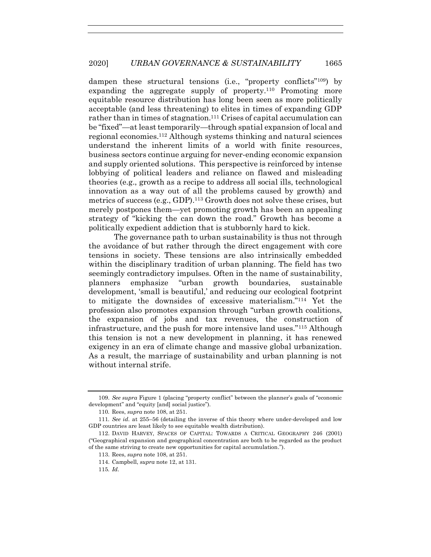dampen these structural tensions (i.e., "property conflicts"<sup>109</sup>) by expanding the aggregate supply of property.<sup>110</sup> Promoting more equitable resource distribution has long been seen as more politically acceptable (and less threatening) to elites in times of expanding GDP rather than in times of stagnation.<sup>111</sup> Crises of capital accumulation can be "fixed"—at least temporarily—through spatial expansion of local and regional economies.<sup>112</sup> Although systems thinking and natural sciences understand the inherent limits of a world with finite resources, business sectors continue arguing for never-ending economic expansion and supply oriented solutions. This perspective is reinforced by intense lobbying of political leaders and reliance on flawed and misleading theories (e.g., growth as a recipe to address all social ills, technological innovation as a way out of all the problems caused by growth) and metrics of success (e.g., GDP).<sup>113</sup> Growth does not solve these crises, but merely postpones them—yet promoting growth has been an appealing strategy of "kicking the can down the road." Growth has become a politically expedient addiction that is stubbornly hard to kick.

The governance path to urban sustainability is thus not through the avoidance of but rather through the direct engagement with core tensions in society. These tensions are also intrinsically embedded within the disciplinary tradition of urban planning. The field has two seemingly contradictory impulses. Often in the name of sustainability, planners emphasize "urban growth boundaries, sustainable development, 'small is beautiful,' and reducing our ecological footprint to mitigate the downsides of excessive materialism."<sup>114</sup> Yet the profession also promotes expansion through "urban growth coalitions, the expansion of jobs and tax revenues, the construction of infrastructure, and the push for more intensive land uses."<sup>115</sup> Although this tension is not a new development in planning, it has renewed exigency in an era of climate change and massive global urbanization. As a result, the marriage of sustainability and urban planning is not without internal strife.

<sup>109.</sup> *See supra* Figure 1 (placing "property conflict" between the planner's goals of "economic development" and "equity [and] social justice").

<sup>110</sup>*.* Rees, *supra* not[e 108,](#page-21-1) at 251.

<sup>111</sup>*. See id.* at 255–56 (detailing the inverse of this theory where under-developed and low GDP countries are least likely to see equitable wealth distribution).

<sup>112.</sup> DAVID HARVEY, SPACES OF CAPITAL: TOWARDS A CRITICAL GEOGRAPHY 246 (2001) ("Geographical expansion and geographical concentration are both to be regarded as the product of the same striving to create new opportunities for capital accumulation.").

<sup>113.</sup> Rees, *supra* not[e 108,](#page-21-1) at 251.

<sup>114.</sup> Campbell, *supra* not[e 12,](#page-3-0) at 131.

<sup>115</sup>*. Id.*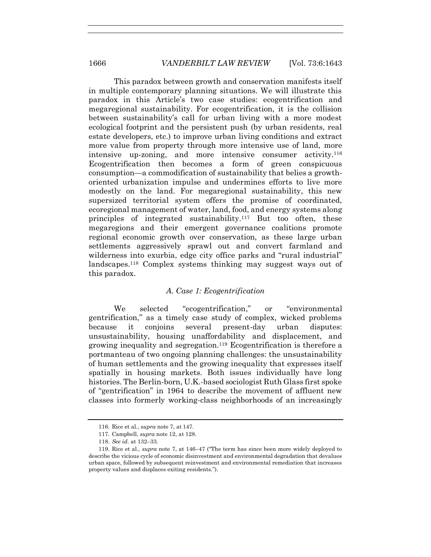This paradox between growth and conservation manifests itself in multiple contemporary planning situations. We will illustrate this paradox in this Article's two case studies: ecogentrification and megaregional sustainability. For ecogentrification, it is the collision between sustainability's call for urban living with a more modest ecological footprint and the persistent push (by urban residents, real estate developers, etc.) to improve urban living conditions and extract more value from property through more intensive use of land, more intensive up-zoning, and more intensive consumer activity.<sup>116</sup> Ecogentrification then becomes a form of green conspicuous consumption—a commodification of sustainability that belies a growthoriented urbanization impulse and undermines efforts to live more modestly on the land. For megaregional sustainability, this new supersized territorial system offers the promise of coordinated, ecoregional management of water, land, food, and energy systems along principles of integrated sustainability.<sup>117</sup> But too often, these megaregions and their emergent governance coalitions promote regional economic growth over conservation, as these large urban settlements aggressively sprawl out and convert farmland and wilderness into exurbia, edge city office parks and "rural industrial" landscapes.<sup>118</sup> Complex systems thinking may suggest ways out of this paradox.

# *A. Case 1: Ecogentrification*

We selected "ecogentrification," or "environmental gentrification," as a timely case study of complex, wicked problems because it conjoins several present-day urban disputes: unsustainability, housing unaffordability and displacement, and growing inequality and segregation.<sup>119</sup> Ecogentrification is therefore a portmanteau of two ongoing planning challenges: the unsustainability of human settlements and the growing inequality that expresses itself spatially in housing markets. Both issues individually have long histories. The Berlin-born, U.K.-based sociologist Ruth Glass first spoke of "gentrification" in 1964 to describe the movement of affluent new classes into formerly working-class neighborhoods of an increasingly

<sup>116.</sup> Rice et al., *supra* not[e 7,](#page-2-1) at 147.

<sup>117.</sup> Campbell, *supra* not[e 12,](#page-3-0) at 128.

<sup>118.</sup> *See id.* at 132–33.

<sup>119.</sup> Rice et al., *supra* note [7,](#page-2-1) at 146–47 ("The term has since been more widely deployed to describe the vicious cycle of economic disinvestment and environmental degradation that devalues urban space, followed by subsequent reinvestment and environmental remediation that increases property values and displaces exiting residents.").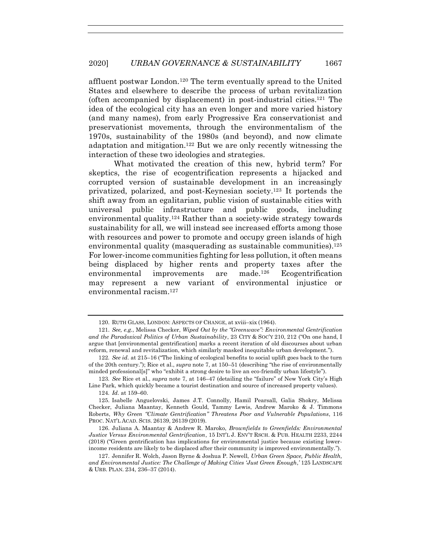affluent postwar London.<sup>120</sup> The term eventually spread to the United States and elsewhere to describe the process of urban revitalization (often accompanied by displacement) in post-industrial cities.<sup>121</sup> The idea of the ecological city has an even longer and more varied history (and many names), from early Progressive Era conservationist and preservationist movements, through the environmentalism of the 1970s, sustainability of the 1980s (and beyond), and now climate adaptation and mitigation.<sup>122</sup> But we are only recently witnessing the interaction of these two ideologies and strategies.

What motivated the creation of this new, hybrid term? For skeptics, the rise of ecogentrification represents a hijacked and corrupted version of sustainable development in an increasingly privatized, polarized, and post-Keynesian society.<sup>123</sup> It portends the shift away from an egalitarian, public vision of sustainable cities with universal public infrastructure and public goods, including environmental quality.<sup>124</sup> Rather than a society-wide strategy towards sustainability for all, we will instead see increased efforts among those with resources and power to promote and occupy green islands of high environmental quality (masquerading as sustainable communities).<sup>125</sup> For lower-income communities fighting for less pollution, it often means being displaced by higher rents and property taxes after the environmental improvements are made.<sup>126</sup> Ecogentrification may represent a new variant of environmental injustice or environmental racism.<sup>127</sup>

124*. Id.* at 159–60.

125. Isabelle Anguelovski, James J.T. Connolly, Hamil Pearsall, Galia Shokry, Melissa Checker, Juliana Maantay, Kenneth Gould, Tammy Lewis, Andrew Maroko & J. Timmons Roberts, *Why Green "Climate Gentrification" Threatens Poor and Vulnerable Populations*, 116 PROC. NAT'L ACAD. SCIS. 26139, 26139 (2019).

<span id="page-24-0"></span><sup>120.</sup> RUTH GLASS, LONDON: ASPECTS OF CHANGE, at xviii–xix (1964).

<sup>121.</sup> *See, e.g.*, Melissa Checker, *Wiped Out by the "Greenwave": Environmental Gentrification and the Paradoxical Politics of Urban Sustainability*, 23 CITY & SOC'Y 210, 212 ("On one hand, I argue that [environmental gentrification] marks a recent iteration of old discourses about urban reform, renewal and revitalization, which similarly masked inequitable urban development.").

<sup>122</sup>*. See id.* at 215–16 ("The linking of ecological benefits to social uplift goes back to the turn of the 20th century."); Rice et al., *supra* note [7,](#page-2-1) at 150–51 (describing "the rise of environmentally minded professional[s]" who "exhibit a strong desire to live an eco-friendly urban lifestyle").

<sup>123</sup>*. See* Rice et al., *supra* note [7,](#page-2-1) at 146–47 (detailing the "failure" of New York City's High Line Park, which quickly became a tourist destination and source of increased property values).

<sup>126.</sup> Juliana A. Maantay & Andrew R. Maroko, *Brownfields to Greenfields: Environmental Justice Versus Environmental Gentrification*, 15 INT'L J. ENV'T RSCH. & PUB. HEALTH 2233, 2244 (2018) ("Green gentrification has implications for environmental justice because existing lowerincome residents are likely to be displaced after their community is improved environmentally.").

<sup>127.</sup> Jennifer R. Wolch, Jason Byrne & Joshua P. Newell, *Urban Green Space, Public Health, and Environmental Justice: The Challenge of Making Cities 'Just Green Enough*,*'* 125 LANDSCAPE & URB. PLAN. 234, 236–37 (2014).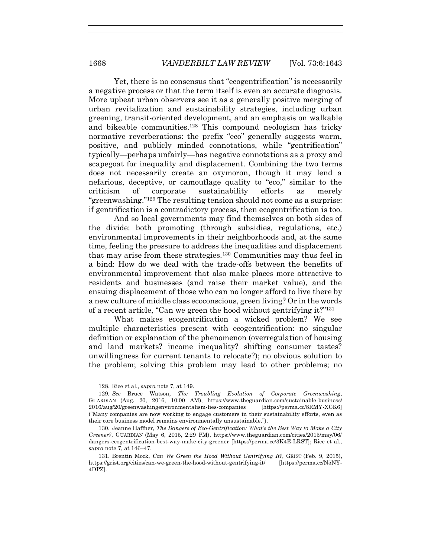Yet, there is no consensus that "ecogentrification" is necessarily a negative process or that the term itself is even an accurate diagnosis. More upbeat urban observers see it as a generally positive merging of urban revitalization and sustainability strategies, including urban greening, transit-oriented development, and an emphasis on walkable and bikeable communities.<sup>128</sup> This compound neologism has tricky normative reverberations: the prefix "eco" generally suggests warm, positive, and publicly minded connotations, while "gentrification" typically—perhaps unfairly—has negative connotations as a proxy and scapegoat for inequality and displacement. Combining the two terms does not necessarily create an oxymoron, though it may lend a nefarious, deceptive, or camouflage quality to "eco," similar to the criticism of corporate sustainability efforts as merely "greenwashing." <sup>129</sup> The resulting tension should not come as a surprise: if gentrification is a contradictory process, then ecogentrification is too.

And so local governments may find themselves on both sides of the divide: both promoting (through subsidies, regulations, etc.) environmental improvements in their neighborhoods and, at the same time, feeling the pressure to address the inequalities and displacement that may arise from these strategies.<sup>130</sup> Communities may thus feel in a bind: How do we deal with the trade-offs between the benefits of environmental improvement that also make places more attractive to residents and businesses (and raise their market value), and the ensuing displacement of those who can no longer afford to live there by a new culture of middle class ecoconscious, green living? Or in the words of a recent article, "Can we green the hood without gentrifying it?"<sup>131</sup>

<span id="page-25-0"></span>What makes ecogentrification a wicked problem? We see multiple characteristics present with ecogentrification: no singular definition or explanation of the phenomenon (overregulation of housing and land markets? income inequality? shifting consumer tastes? unwillingness for current tenants to relocate?); no obvious solution to the problem; solving this problem may lead to other problems; no

<sup>128.</sup> Rice et al., *supra* not[e 7,](#page-2-1) at 149.

<sup>129</sup>*. See* Bruce Watson, *The Troubling Evolution of Corporate Greenwashing*, GUARDIAN (Aug. 20, 2016, 10:00 AM), https://www.theguardian.com/sustainable-business/ 2016/aug/20/greenwashingenvironmentalism-lies-companies [https://perma.cc/8RMY-XCK6] ("Many companies are now working to engage customers in their sustainability efforts, even as their core business model remains environmentally unsustainable.").

<sup>130.</sup> Jeanne Haffner, *The Dangers of Eco-Gentrification: What's the Best Way to Make a City Greener?*, GUARDIAN (May 6, 2015, 2:29 PM), https://www.theguardian.com/cities/2015/may/06/ dangers-ecogentrification-best-way-make-city-greener [https://perma.cc/3K4E-LRST]; Rice et al., *supra* not[e 7,](#page-2-1) at 146–47.

<sup>131.</sup> Brentin Mock, *Can We Green the Hood Without Gentrifying It?*, GRIST (Feb. 9, 2015), https://grist.org/cities/can-we-green-the-hood-without-gentrifying-it/ [https://perma.cc/N5NY-4DPZ].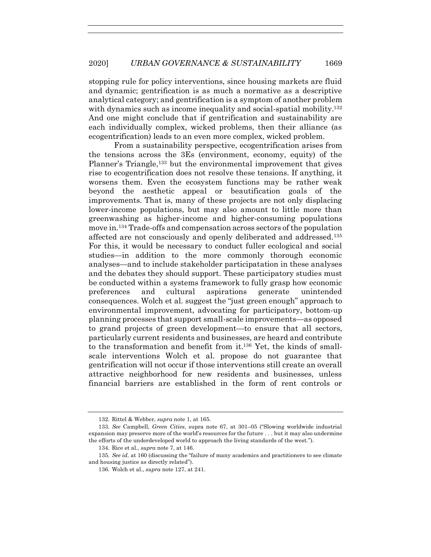stopping rule for policy interventions, since housing markets are fluid and dynamic; gentrification is as much a normative as a descriptive analytical category; and gentrification is a symptom of another problem with dynamics such as income inequality and social-spatial mobility.<sup>132</sup> And one might conclude that if gentrification and sustainability are each individually complex, wicked problems, then their alliance (as ecogentrification) leads to an even more complex, wicked problem.

From a sustainability perspective, ecogentrification arises from the tensions across the 3Es (environment, economy, equity) of the Planner's Triangle,<sup>133</sup> but the environmental improvement that gives rise to ecogentrification does not resolve these tensions. If anything, it worsens them. Even the ecosystem functions may be rather weak beyond the aesthetic appeal or beautification goals of the improvements. That is, many of these projects are not only displacing lower-income populations, but may also amount to little more than greenwashing as higher-income and higher-consuming populations move in.<sup>134</sup> Trade-offs and compensation across sectors of the population affected are not consciously and openly deliberated and addressed.<sup>135</sup> For this, it would be necessary to conduct fuller ecological and social studies—in addition to the more commonly thorough economic analyses—and to include stakeholder participatation in these analyses and the debates they should support. These participatory studies must be conducted within a systems framework to fully grasp how economic preferences and cultural aspirations generate unintended consequences. Wolch et al. suggest the "just green enough" approach to environmental improvement, advocating for participatory, bottom-up planning processes that support small-scale improvements—as opposed to grand projects of green development—to ensure that all sectors, particularly current residents and businesses, are heard and contribute to the transformation and benefit from it.<sup>136</sup> Yet, the kinds of smallscale interventions Wolch et al. propose do not guarantee that gentrification will not occur if those interventions still create an overall attractive neighborhood for new residents and businesses, unless financial barriers are established in the form of rent controls or

<sup>132.</sup> Rittel & Webber, *supra* not[e 1,](#page-1-0) at 165.

<sup>133</sup>*. See* Campbell, *Green Cities*, supra note [67,](#page-13-0) at 301–05 ("Slowing worldwide industrial expansion may preserve more of the world's resources for the future . . . but it may also undermine the efforts of the underdeveloped world to approach the living standards of the west.").

<sup>134.</sup> Rice et al., *supra* not[e 7,](#page-2-1) at 146.

<sup>135</sup>*. See id.* at 160 (discussing the "failure of many academics and practitioners to see climate and housing justice as directly related").

<sup>136.</sup> Wolch et al., *supra* not[e 127,](#page-24-0) at 241.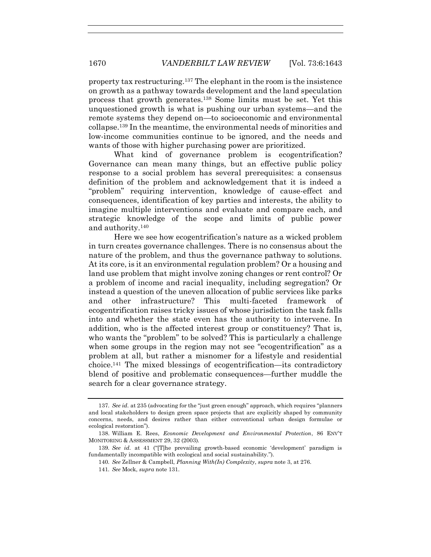property tax restructuring.<sup>137</sup> The elephant in the room is the insistence on growth as a pathway towards development and the land speculation process that growth generates.<sup>138</sup> Some limits must be set. Yet this unquestioned growth is what is pushing our urban systems—and the remote systems they depend on—to socioeconomic and environmental collapse.<sup>139</sup> In the meantime, the environmental needs of minorities and low-income communities continue to be ignored, and the needs and wants of those with higher purchasing power are prioritized.

What kind of governance problem is ecogentrification? Governance can mean many things, but an effective public policy response to a social problem has several prerequisites: a consensus definition of the problem and acknowledgement that it is indeed a "problem" requiring intervention, knowledge of cause-effect and consequences, identification of key parties and interests, the ability to imagine multiple interventions and evaluate and compare each, and strategic knowledge of the scope and limits of public power and authority.<sup>140</sup>

Here we see how ecogentrification's nature as a wicked problem in turn creates governance challenges. There is no consensus about the nature of the problem, and thus the governance pathway to solutions. At its core, is it an environmental regulation problem? Or a housing and land use problem that might involve zoning changes or rent control? Or a problem of income and racial inequality, including segregation? Or instead a question of the uneven allocation of public services like parks and other infrastructure? This multi-faceted framework of ecogentrification raises tricky issues of whose jurisdiction the task falls into and whether the state even has the authority to intervene. In addition, who is the affected interest group or constituency? That is, who wants the "problem" to be solved? This is particularly a challenge when some groups in the region may not see "ecogentrification" as a problem at all, but rather a misnomer for a lifestyle and residential choice.<sup>141</sup> The mixed blessings of ecogentrification—its contradictory blend of positive and problematic consequences—further muddle the search for a clear governance strategy.

<sup>137</sup>*. See id.* at 235 (advocating for the "just green enough" approach, which requires "planners and local stakeholders to design green space projects that are explicitly shaped by community concerns, needs, and desires rather than either conventional urban design formulae or ecological restoration").

<sup>138.</sup> William E. Rees, *Economic Development and Environmental Protection*, 86 ENV'T MONITORING & ASSESSMENT 29, 32 (2003).

<sup>139</sup>*. See id.* at 41 ("[T]he prevailing growth-based economic 'development' paradigm is fundamentally incompatible with ecological and social sustainability.").

<sup>140</sup>*. See* Zellner & Campbell, *Planning With(In) Complexity*, *supra* note [3,](#page-2-0) at 276.

<sup>141</sup>*. See* Mock, *supra* not[e 131.](#page-25-0)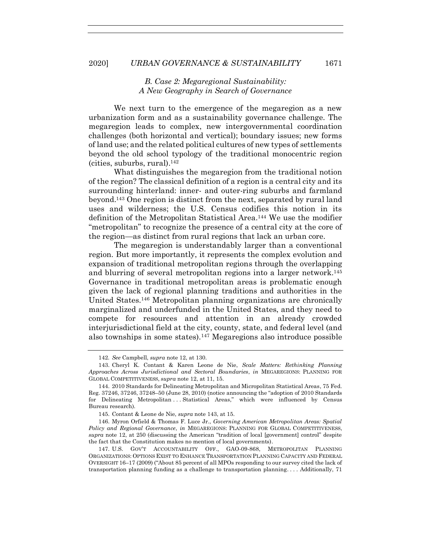# *B. Case 2: Megaregional Sustainability: A New Geography in Search of Governance*

We next turn to the emergence of the megaregion as a new urbanization form and as a sustainability governance challenge. The megaregion leads to complex, new intergovernmental coordination challenges (both horizontal and vertical); boundary issues; new forms of land use; and the related political cultures of new types of settlements beyond the old school typology of the traditional monocentric region (cities, suburbs, rural).<sup>142</sup>

<span id="page-28-0"></span>What distinguishes the megaregion from the traditional notion of the region? The classical definition of a region is a central city and its surrounding hinterland: inner- and outer-ring suburbs and farmland beyond.<sup>143</sup> One region is distinct from the next, separated by rural land uses and wilderness; the U.S. Census codifies this notion in its definition of the Metropolitan Statistical Area.<sup>144</sup> We use the modifier "metropolitan" to recognize the presence of a central city at the core of the region—as distinct from rural regions that lack an urban core.

The megaregion is understandably larger than a conventional region. But more importantly, it represents the complex evolution and expansion of traditional metropolitan regions through the overlapping and blurring of several metropolitan regions into a larger network.<sup>145</sup> Governance in traditional metropolitan areas is problematic enough given the lack of regional planning traditions and authorities in the United States.<sup>146</sup> Metropolitan planning organizations are chronically marginalized and underfunded in the United States, and they need to compete for resources and attention in an already crowded interjurisdictional field at the city, county, state, and federal level (and also townships in some states).<sup>147</sup> Megaregions also introduce possible

<span id="page-28-1"></span><sup>142</sup>*. See* Campbell, *supra* note [12,](#page-3-0) at 130.

<sup>143.</sup> Cheryl K. Contant & Karen Leone de Nie, *Scale Matters: Rethinking Planning Approaches Across Jurisdictional and Sectoral Boundaries*, *in* MEGAREGIONS: PLANNING FOR GLOBAL COMPETITIVENESS, *supra* not[e 12,](#page-3-0) at 11, 15.

<sup>144.</sup> 2010 Standards for Delineating Metropolitan and Micropolitan Statistical Areas, 75 Fed. Reg. 37246, 37246, 37248–50 (June 28, 2010) (notice announcing the "adoption of 2010 Standards for Delineating Metropolitan ... Statistical Areas," which were influenced by Census Bureau research).

<sup>145.</sup> Contant & Leone de Nie, *supra* not[e 143,](#page-28-0) at 15.

<sup>146.</sup> Myron Orfield & Thomas F. Luce Jr., *Governing American Metropolitan Areas: Spatial Policy and Regional Governance*, *in* MEGAREGIONS: PLANNING FOR GLOBAL COMPETITIVENESS, *supra* note [12,](#page-3-0) at 250 (discussing the American "tradition of local [government] control" despite the fact that the Constitution makes no mention of local governments).

<sup>147.</sup> U.S. GOV'T ACCOUNTABILITY OFF., GAO-09-868, METROPOLITAN PLANNING ORGANIZATIONS: OPTIONS EXIST TO ENHANCE TRANSPORTATION PLANNING CAPACITY AND FEDERAL OVERSIGHT 16–17 (2009) ("About 85 percent of all MPOs responding to our survey cited the lack of transportation planning funding as a challenge to transportation planning. . . . Additionally, 71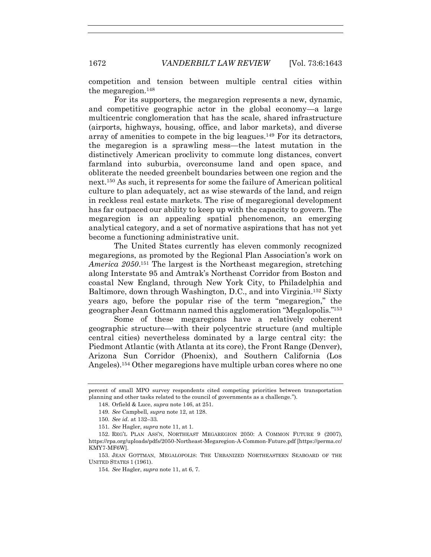competition and tension between multiple central cities within the megaregion.<sup>148</sup>

For its supporters, the megaregion represents a new, dynamic, and competitive geographic actor in the global economy—a large multicentric conglomeration that has the scale, shared infrastructure (airports, highways, housing, office, and labor markets), and diverse array of amenities to compete in the big leagues.<sup>149</sup> For its detractors, the megaregion is a sprawling mess—the latest mutation in the distinctively American proclivity to commute long distances, convert farmland into suburbia, overconsume land and open space, and obliterate the needed greenbelt boundaries between one region and the next.<sup>150</sup> As such, it represents for some the failure of American political culture to plan adequately, act as wise stewards of the land, and reign in reckless real estate markets. The rise of megaregional development has far outpaced our ability to keep up with the capacity to govern. The megaregion is an appealing spatial phenomenon, an emerging analytical category, and a set of normative aspirations that has not yet become a functioning administrative unit.

The United States currently has eleven commonly recognized megaregions, as promoted by the Regional Plan Association's work on *America 2050*. <sup>151</sup> The largest is the Northeast megaregion, stretching along Interstate 95 and Amtrak's Northeast Corridor from Boston and coastal New England, through New York City, to Philadelphia and Baltimore, down through Washington, D.C., and into Virginia.<sup>152</sup> Sixty years ago, before the popular rise of the term "megaregion," the geographer Jean Gottmann named this agglomeration "Megalopolis."<sup>153</sup>

Some of these megaregions have a relatively coherent geographic structure—with their polycentric structure (and multiple central cities) nevertheless dominated by a large central city: the Piedmont Atlantic (with Atlanta at its core), the Front Range (Denver), Arizona Sun Corridor (Phoenix), and Southern California (Los Angeles).<sup>154</sup> Other megaregions have multiple urban cores where no one

percent of small MPO survey respondents cited competing priorities between transportation planning and other tasks related to the council of governments as a challenge.").

<sup>148.</sup> Orfield & Luce, *supra* note [146,](#page-28-1) at 251.

<sup>149</sup>*. See* Campbell, *supra* note [12,](#page-3-0) at 128.

<sup>150</sup>*. See id.* at 132–33.

<sup>151</sup>*. See* Hagler, *supra* note [11,](#page-3-1) at 1.

<sup>152.</sup> REG'L PLAN ASS'N, NORTHEAST MEGAREGION 2050: A COMMON FUTURE 9 (2007), https://rpa.org/uploads/pdfs/2050-Northeast-Megaregion-A-Common-Future.pdf [https://perma.cc/ KMY7-MF6W].

<sup>153.</sup> JEAN GOTTMAN, MEGALOPOLIS: THE URBANIZED NORTHEASTERN SEABOARD OF THE UNITED STATES 1 (1961).

<sup>154</sup>*. See* Hagler, *supra* note [11,](#page-3-1) at 6, 7.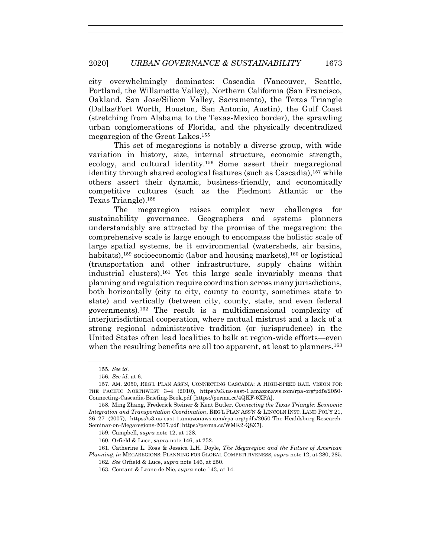city overwhelmingly dominates: Cascadia (Vancouver, Seattle, Portland, the Willamette Valley), Northern California (San Francisco, Oakland, San Jose/Silicon Valley, Sacramento), the Texas Triangle (Dallas/Fort Worth, Houston, San Antonio, Austin), the Gulf Coast (stretching from Alabama to the Texas-Mexico border), the sprawling urban conglomerations of Florida, and the physically decentralized megaregion of the Great Lakes.<sup>155</sup>

This set of megaregions is notably a diverse group, with wide variation in history, size, internal structure, economic strength, ecology, and cultural identity.<sup>156</sup> Some assert their megaregional identity through shared ecological features (such as Cascadia),<sup>157</sup> while others assert their dynamic, business-friendly, and economically competitive cultures (such as the Piedmont Atlantic or the Texas Triangle).<sup>158</sup>

The megaregion raises complex new challenges for sustainability governance. Geographers and systems planners understandably are attracted by the promise of the megaregion: the comprehensive scale is large enough to encompass the holistic scale of large spatial systems, be it environmental (watersheds, air basins, habitats),<sup>159</sup> socioeconomic (labor and housing markets),<sup>160</sup> or logistical (transportation and other infrastructure, supply chains within industrial clusters).<sup>161</sup> Yet this large scale invariably means that planning and regulation require coordination across many jurisdictions, both horizontally (city to city, county to county, sometimes state to state) and vertically (between city, county, state, and even federal governments).<sup>162</sup> The result is a multidimensional complexity of interjurisdictional cooperation, where mutual mistrust and a lack of a strong regional administrative tradition (or jurisprudence) in the United States often lead localities to balk at region-wide efforts—even when the resulting benefits are all too apparent, at least to planners.<sup>163</sup>

161. Catherine L. Ross & Jessica L.H. Doyle, *The Megaregion and the Future of American Planning*, *in* MEGAREGIONS: PLANNING FOR GLOBAL COMPETITIVENESS, *supra* not[e 12,](#page-3-0) at 280, 285.

<sup>155</sup>*. See id.*

<sup>156</sup>*. See id.* at 6.

<sup>157.</sup> AM. 2050, REG'L PLAN ASS'N, CONNECTING CASCADIA: A HIGH-SPEED RAIL VISION FOR THE PACIFIC NORTHWEST 3–4 (2010), https://s3.us-east-1.amazonaws.com/rpa-org/pdfs/2050- Connecting-Cascadia-Briefing-Book.pdf [https://perma.cc/4QKF-6XPA].

<sup>158.</sup> Ming Zhang, Frederick Steiner & Kent Butler, *Connecting the Texas Triangle: Economic Integration and Transportation Coordination*, REG'L PLAN ASS'N & LINCOLN INST. LAND POL'Y 21, 26–27 (2007), https://s3.us-east-1.amazonaws.com/rpa-org/pdfs/2050-The-Healdsburg-Research-Seminar-on-Megaregions-2007.pdf [https://perma.cc/WMK2-Q8Z7].

<sup>159.</sup> Campbell, *supra* not[e 12,](#page-3-0) at 128.

<sup>160.</sup> Orfield & Luce, *supra* note [146,](#page-28-1) at 252.

<sup>162</sup>*. See* Orfield & Luce, *supra* not[e 146,](#page-28-1) at 250.

<sup>163.</sup> Contant & Leone de Nie, *supra* not[e 143,](#page-28-0) at 14.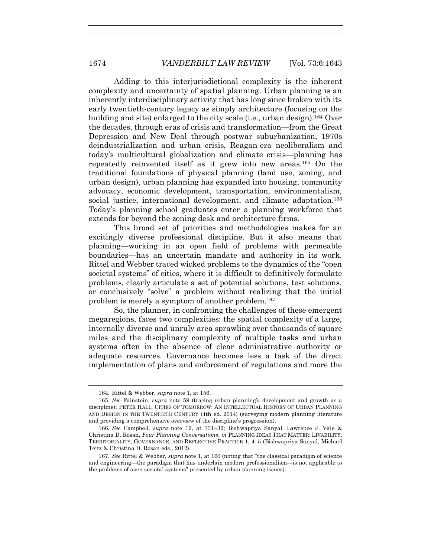Adding to this interjurisdictional complexity is the inherent complexity and uncertainty of spatial planning. Urban planning is an inherently interdisciplinary activity that has long since broken with its early twentieth-century legacy as simply architecture (focusing on the building and site) enlarged to the city scale (i.e., urban design).<sup>164</sup> Over the decades, through eras of crisis and transformation—from the Great Depression and New Deal through postwar suburbanization, 1970s deindustrialization and urban crisis, Reagan-era neoliberalism and today's multicultural globalization and climate crisis—planning has repeatedly reinvented itself as it grew into new areas.<sup>165</sup> On the traditional foundations of physical planning (land use, zoning, and urban design), urban planning has expanded into housing, community advocacy, economic development, transportation, environmentalism, social justice, international development, and climate adaptation.<sup>166</sup> Today's planning school graduates enter a planning workforce that extends far beyond the zoning desk and architecture firms.

This broad set of priorities and methodologies makes for an excitingly diverse professional discipline. But it also means that planning—working in an open field of problems with permeable boundaries—has an uncertain mandate and authority in its work. Rittel and Webber traced wicked problems to the dynamics of the "open societal systems" of cities, where it is difficult to definitively formulate problems, clearly articulate a set of potential solutions, test solutions, or conclusively "solve" a problem without realizing that the initial problem is merely a symptom of another problem.<sup>167</sup>

So, the planner, in confronting the challenges of these emergent megaregions, faces two complexities: the spatial complexity of a large, internally diverse and unruly area sprawling over thousands of square miles and the disciplinary complexity of multiple tasks and urban systems often in the absence of clear administrative authority or adequate resources. Governance becomes less a task of the direct implementation of plans and enforcement of regulations and more the

<sup>164.</sup> Rittel & Webber, *supra* not[e 1,](#page-1-0) at 156.

<sup>165.</sup> *See* Fainstein, *supra* note [59](#page-12-0) (tracing urban planning's development and growth as a discipline); PETER HALL, CITIES OF TOMORROW: AN INTELLECTUAL HISTORY OF URBAN PLANNING AND DESIGN IN THE TWENTIETH CENTURY (4th ed. 2014) (surveying modern planning literature and providing a comprehensive overview of the discipline's progression).

<sup>166</sup>*. See* Campbell, *supra* note [12,](#page-3-0) at 131–32; Bishwapriya Sanyal, Lawrence J. Vale & Christina D. Rosan, *Four Planning Conversations*, *in* PLANNING IDEAS THAT MATTER: LIVABILITY, TERRITORIALITY, GOVERNANCE, AND REFLECTIVE PRACTICE 1, 4–5 (Bishwapriya Sanyal, Michael Teitz & Christina D. Rosan eds., 2012).

<sup>167</sup>*. See* Rittel & Webber, *supra* note [1](#page-1-0), at 160 (noting that "the classical paradigm of science and engineering—the paradigm that has underlain modern professionalism—is not applicable to the problems of open societal systems" presented by urban planning issues).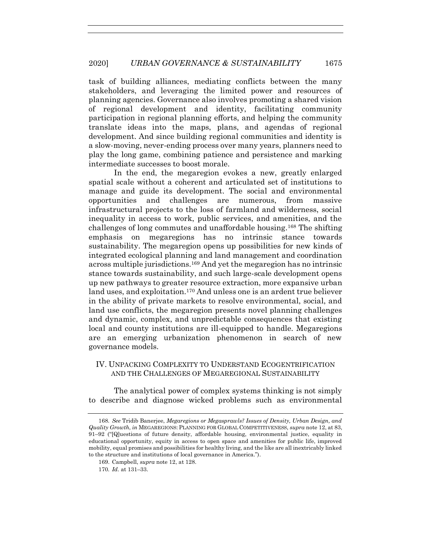task of building alliances, mediating conflicts between the many stakeholders, and leveraging the limited power and resources of planning agencies. Governance also involves promoting a shared vision of regional development and identity, facilitating community participation in regional planning efforts, and helping the community translate ideas into the maps, plans, and agendas of regional development. And since building regional communities and identity is a slow-moving, never-ending process over many years, planners need to play the long game, combining patience and persistence and marking intermediate successes to boost morale.

In the end, the megaregion evokes a new, greatly enlarged spatial scale without a coherent and articulated set of institutions to manage and guide its development. The social and environmental opportunities and challenges are numerous, from massive infrastructural projects to the loss of farmland and wilderness, social inequality in access to work, public services, and amenities, and the challenges of long commutes and unaffordable housing.<sup>168</sup> The shifting emphasis on megaregions has no intrinsic stance towards sustainability. The megaregion opens up possibilities for new kinds of integrated ecological planning and land management and coordination across multiple jurisdictions.<sup>169</sup> And yet the megaregion has no intrinsic stance towards sustainability, and such large-scale development opens up new pathways to greater resource extraction, more expansive urban land uses, and exploitation.<sup>170</sup> And unless one is an ardent true believer in the ability of private markets to resolve environmental, social, and land use conflicts, the megaregion presents novel planning challenges and dynamic, complex, and unpredictable consequences that existing local and county institutions are ill-equipped to handle. Megaregions are an emerging urbanization phenomenon in search of new governance models.

# IV. UNPACKING COMPLEXITY TO UNDERSTAND ECOGENTRIFICATION AND THE CHALLENGES OF MEGAREGIONAL SUSTAINABILITY

The analytical power of complex systems thinking is not simply to describe and diagnose wicked problems such as environmental

<sup>168</sup>*. See* Tridib Banerjee, *Megaregions or Megasprawls? Issues of Density, Urban Design, and Quality Growth*, *in* MEGAREGIONS: PLANNING FOR GLOBAL COMPETITIVENESS, *supra* not[e 12,](#page-3-0) at 83, 91–92 ("[Q]uestions of future density, affordable housing, environmental justice, equality in educational opportunity, equity in access to open space and amenities for public life, improved mobility, equal promises and possibilities for healthy living, and the like are all inextricably linked to the structure and institutions of local governance in America.").

<sup>169.</sup> Campbell, *supra* not[e 12,](#page-3-0) at 128.

<sup>170</sup>*. Id.* at 131–33.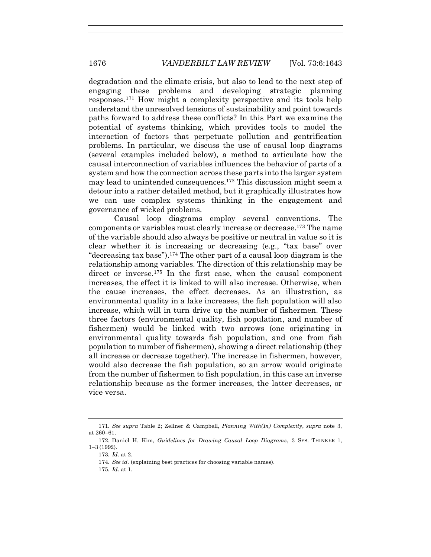degradation and the climate crisis, but also to lead to the next step of engaging these problems and developing strategic planning responses.<sup>171</sup> How might a complexity perspective and its tools help understand the unresolved tensions of sustainability and point towards paths forward to address these conflicts? In this Part we examine the potential of systems thinking, which provides tools to model the interaction of factors that perpetuate pollution and gentrification problems. In particular, we discuss the use of causal loop diagrams (several examples included below), a method to articulate how the causal interconnection of variables influences the behavior of parts of a system and how the connection across these parts into the larger system may lead to unintended consequences.<sup>172</sup> This discussion might seem a detour into a rather detailed method, but it graphically illustrates how we can use complex systems thinking in the engagement and governance of wicked problems.

Causal loop diagrams employ several conventions. The components or variables must clearly increase or decrease.<sup>173</sup> The name of the variable should also always be positive or neutral in value so it is clear whether it is increasing or decreasing (e.g., "tax base" over "decreasing tax base").<sup>174</sup> The other part of a causal loop diagram is the relationship among variables. The direction of this relationship may be direct or inverse.<sup>175</sup> In the first case, when the causal component increases, the effect it is linked to will also increase. Otherwise, when the cause increases, the effect decreases. As an illustration, as environmental quality in a lake increases, the fish population will also increase, which will in turn drive up the number of fishermen. These three factors (environmental quality, fish population, and number of fishermen) would be linked with two arrows (one originating in environmental quality towards fish population, and one from fish population to number of fishermen), showing a direct relationship (they all increase or decrease together). The increase in fishermen, however, would also decrease the fish population, so an arrow would originate from the number of fishermen to fish population, in this case an inverse relationship because as the former increases, the latter decreases, or vice versa.

<sup>171</sup>*. See supra* Table 2; Zellner & Campbell, *Planning With(In) Complexity*, *supra* note [3,](#page-2-0) at 260–61.

<sup>172.</sup> Daniel H. Kim, *Guidelines for Drawing Causal Loop Diagrams*, 3 SYS. THINKER 1, 1–3 (1992).

<sup>173</sup>*. Id.* at 2.

<sup>174</sup>*. See id.* (explaining best practices for choosing variable names).

<sup>175</sup>*. Id.* at 1.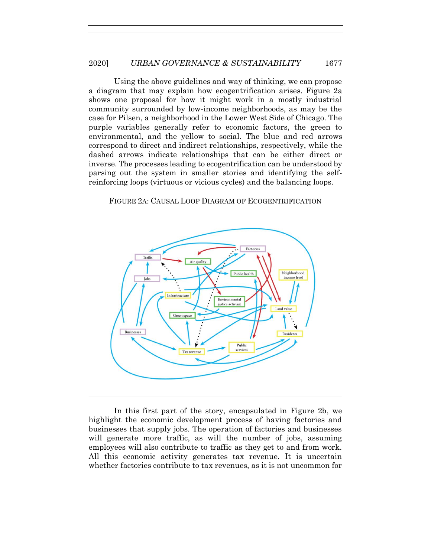Using the above guidelines and way of thinking, we can propose a diagram that may explain how ecogentrification arises. Figure 2a shows one proposal for how it might work in a mostly industrial community surrounded by low-income neighborhoods, as may be the case for Pilsen, a neighborhood in the Lower West Side of Chicago. The purple variables generally refer to economic factors, the green to environmental, and the yellow to social. The blue and red arrows correspond to direct and indirect relationships, respectively, while the dashed arrows indicate relationships that can be either direct or inverse. The processes leading to ecogentrification can be understood by parsing out the system in smaller stories and identifying the selfreinforcing loops (virtuous or vicious cycles) and the balancing loops.





In this first part of the story, encapsulated in Figure 2b, we highlight the economic development process of having factories and businesses that supply jobs. The operation of factories and businesses will generate more traffic, as will the number of jobs, assuming employees will also contribute to traffic as they get to and from work. All this economic activity generates tax revenue. It is uncertain whether factories contribute to tax revenues, as it is not uncommon for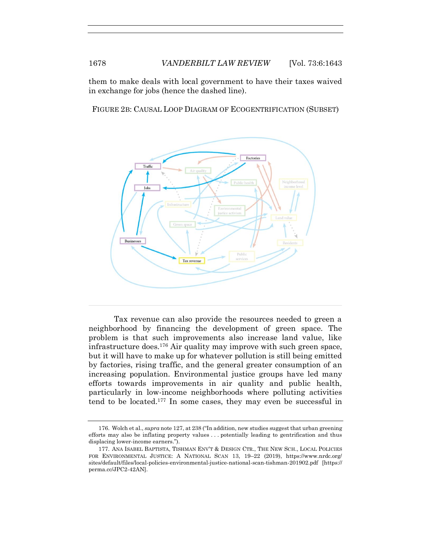them to make deals with local government to have their taxes waived in exchange for jobs (hence the dashed line).

FIGURE 2B: CAUSAL LOOP DIAGRAM OF ECOGENTRIFICATION (SUBSET)



Tax revenue can also provide the resources needed to green a neighborhood by financing the development of green space. The problem is that such improvements also increase land value, like infrastructure does.<sup>176</sup> Air quality may improve with such green space, but it will have to make up for whatever pollution is still being emitted by factories, rising traffic, and the general greater consumption of an increasing population. Environmental justice groups have led many efforts towards improvements in air quality and public health, particularly in low-income neighborhoods where polluting activities tend to be located. <sup>177</sup> In some cases, they may even be successful in

<sup>176.</sup> Wolch et al., *supra* not[e 127,](#page-24-0) at 238 ("In addition, new studies suggest that urban greening efforts may also be inflating property values . . . potentially leading to gentrification and thus displacing lower-income earners.").

<sup>177.</sup> ANA ISABEL BAPTISTA, TISHMAN ENV'T & DESIGN CTR., THE NEW SCH., LOCAL POLICIES FOR ENVIRONMENTAL JUSTICE: A NATIONAL SCAN 13, 19–22 (2019), https://www.nrdc.org/ sites/default/files/local-policies-environmental-justice-national-scan-tishman-201902.pdf [https:// perma.cc/JPC2-42AN].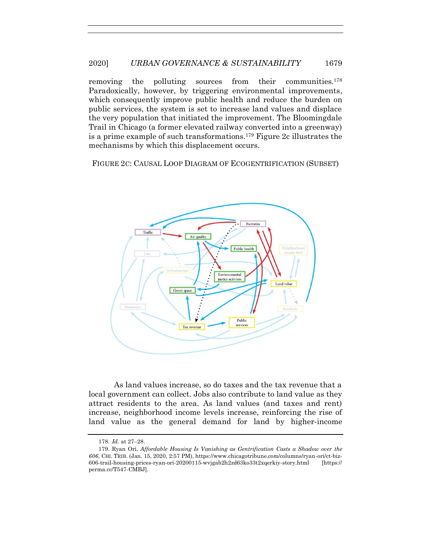# 2020] *URBAN GOVERNANCE & SUSTAINABILITY* 1679

removing the polluting sources from their communities.<sup>178</sup> Paradoxically, however, by triggering environmental improvements, which consequently improve public health and reduce the burden on public services, the system is set to increase land values and displace the very population that initiated the improvement. The Bloomingdale Trail in Chicago (a former elevated railway converted into a greenway) is a prime example of such transformations.<sup>179</sup> Figure 2c illustrates the mechanisms by which this displacement occurs.

FIGURE 2C: CAUSAL LOOP DIAGRAM OF ECOGENTRIFICATION (SUBSET)



As land values increase, so do taxes and the tax revenue that a local government can collect. Jobs also contribute to land value as they attract residents to the area. As land values (and taxes and rent) increase, neighborhood income levels increase, reinforcing the rise of land value as the general demand for land by higher-income

<sup>178</sup>*. Id.* at 27–28.

<sup>179.</sup> Ryan Ori, *Affordable Housing Is Vanishing as Gentrification Casts a Shadow over the 606*, CHI. TRIB. (Jan. 15, 2020, 2:57 PM), https://www.chicagotribune.com/columns/ryan-ori/ct-biz-606-trail-housing-prices-ryan-ori-20200115-wvjgab2h2zd63ko33t2xqerkiy-story.html [https:// perma.cc/T547-CMBJ].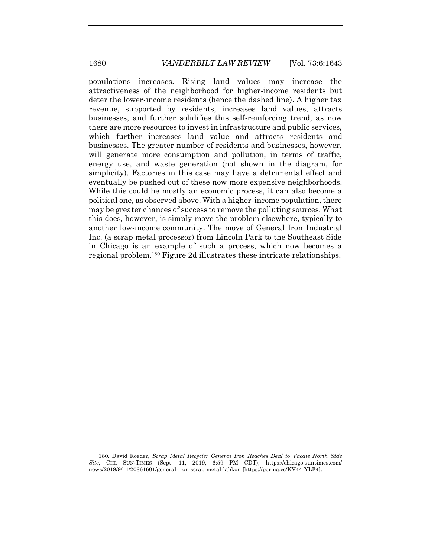populations increases. Rising land values may increase the attractiveness of the neighborhood for higher-income residents but deter the lower-income residents (hence the dashed line). A higher tax revenue, supported by residents, increases land values, attracts businesses, and further solidifies this self-reinforcing trend, as now there are more resources to invest in infrastructure and public services, which further increases land value and attracts residents and businesses. The greater number of residents and businesses, however, will generate more consumption and pollution, in terms of traffic, energy use, and waste generation (not shown in the diagram, for simplicity). Factories in this case may have a detrimental effect and eventually be pushed out of these now more expensive neighborhoods. While this could be mostly an economic process, it can also become a political one, as observed above. With a higher-income population, there may be greater chances of success to remove the polluting sources. What this does, however, is simply move the problem elsewhere, typically to another low-income community. The move of General Iron Industrial Inc. (a scrap metal processor) from Lincoln Park to the Southeast Side in Chicago is an example of such a process, which now becomes a regional problem.<sup>180</sup> Figure 2d illustrates these intricate relationships.

<sup>180.</sup> David Roeder, *Scrap Metal Recycler General Iron Reaches Deal to Vacate North Side Site*, CHI. SUN-TIMES (Sept. 11, 2019, 6:59 PM CDT), https://chicago.suntimes.com/ news/2019/9/11/20861601/general-iron-scrap-metal-labkon [https://perma.cc/KV44-YLF4].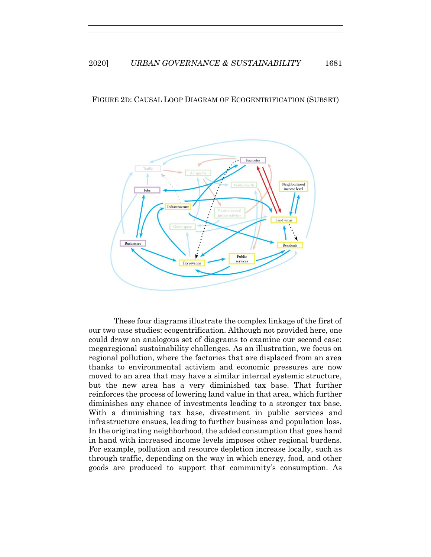#### FIGURE 2D: CAUSAL LOOP DIAGRAM OF ECOGENTRIFICATION (SUBSET)



These four diagrams illustrate the complex linkage of the first of our two case studies: ecogentrification. Although not provided here, one could draw an analogous set of diagrams to examine our second case: megaregional sustainability challenges. As an illustration, we focus on regional pollution, where the factories that are displaced from an area thanks to environmental activism and economic pressures are now moved to an area that may have a similar internal systemic structure, but the new area has a very diminished tax base. That further reinforces the process of lowering land value in that area, which further diminishes any chance of investments leading to a stronger tax base. With a diminishing tax base, divestment in public services and infrastructure ensues, leading to further business and population loss. In the originating neighborhood, the added consumption that goes hand in hand with increased income levels imposes other regional burdens. For example, pollution and resource depletion increase locally, such as through traffic, depending on the way in which energy, food, and other goods are produced to support that community's consumption. As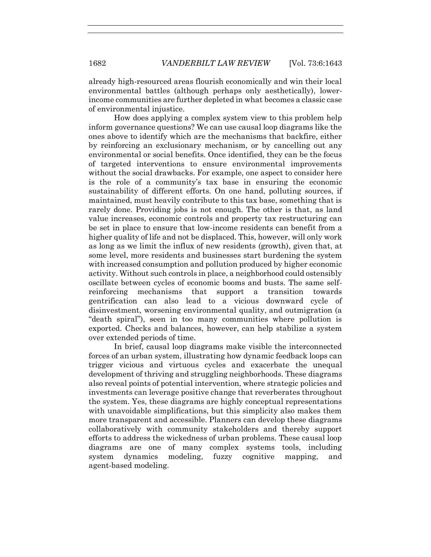already high-resourced areas flourish economically and win their local environmental battles (although perhaps only aesthetically), lowerincome communities are further depleted in what becomes a classic case of environmental injustice.

How does applying a complex system view to this problem help inform governance questions? We can use causal loop diagrams like the ones above to identify which are the mechanisms that backfire, either by reinforcing an exclusionary mechanism, or by cancelling out any environmental or social benefits. Once identified, they can be the focus of targeted interventions to ensure environmental improvements without the social drawbacks. For example, one aspect to consider here is the role of a community's tax base in ensuring the economic sustainability of different efforts. On one hand, polluting sources, if maintained, must heavily contribute to this tax base, something that is rarely done. Providing jobs is not enough. The other is that, as land value increases, economic controls and property tax restructuring can be set in place to ensure that low-income residents can benefit from a higher quality of life and not be displaced. This, however, will only work as long as we limit the influx of new residents (growth), given that, at some level, more residents and businesses start burdening the system with increased consumption and pollution produced by higher economic activity. Without such controls in place, a neighborhood could ostensibly oscillate between cycles of economic booms and busts. The same selfreinforcing mechanisms that support a transition towards gentrification can also lead to a vicious downward cycle of disinvestment, worsening environmental quality, and outmigration (a "death spiral"), seen in too many communities where pollution is exported. Checks and balances, however, can help stabilize a system over extended periods of time.

In brief, causal loop diagrams make visible the interconnected forces of an urban system, illustrating how dynamic feedback loops can trigger vicious and virtuous cycles and exacerbate the unequal development of thriving and struggling neighborhoods. These diagrams also reveal points of potential intervention, where strategic policies and investments can leverage positive change that reverberates throughout the system. Yes, these diagrams are highly conceptual representations with unavoidable simplifications, but this simplicity also makes them more transparent and accessible. Planners can develop these diagrams collaboratively with community stakeholders and thereby support efforts to address the wickedness of urban problems. These causal loop diagrams are one of many complex systems tools, including system dynamics modeling, fuzzy cognitive mapping, and agent-based modeling.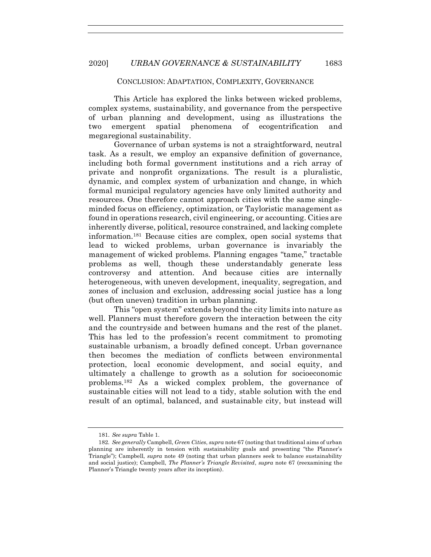#### CONCLUSION: ADAPTATION, COMPLEXITY, GOVERNANCE

This Article has explored the links between wicked problems, complex systems, sustainability, and governance from the perspective of urban planning and development, using as illustrations the two emergent spatial phenomena of ecogentrification and megaregional sustainability.

Governance of urban systems is not a straightforward, neutral task. As a result, we employ an expansive definition of governance, including both formal government institutions and a rich array of private and nonprofit organizations. The result is a pluralistic, dynamic, and complex system of urbanization and change, in which formal municipal regulatory agencies have only limited authority and resources. One therefore cannot approach cities with the same singleminded focus on efficiency, optimization, or Tayloristic management as found in operations research, civil engineering, or accounting. Cities are inherently diverse, political, resource constrained, and lacking complete information.<sup>181</sup> Because cities are complex, open social systems that lead to wicked problems, urban governance is invariably the management of wicked problems. Planning engages "tame," tractable problems as well, though these understandably generate less controversy and attention. And because cities are internally heterogeneous, with uneven development, inequality, segregation, and zones of inclusion and exclusion, addressing social justice has a long (but often uneven) tradition in urban planning.

This "open system" extends beyond the city limits into nature as well. Planners must therefore govern the interaction between the city and the countryside and between humans and the rest of the planet. This has led to the profession's recent commitment to promoting sustainable urbanism, a broadly defined concept. Urban governance then becomes the mediation of conflicts between environmental protection, local economic development, and social equity, and ultimately a challenge to growth as a solution for socioeconomic problems.<sup>182</sup> As a wicked complex problem, the governance of sustainable cities will not lead to a tidy, stable solution with the end result of an optimal, balanced, and sustainable city, but instead will

<sup>181.</sup> *See supra* Table 1.

<sup>182</sup>*. See generally* Campbell, *Green Cities*, *supra* note [67](#page-13-0) (noting that traditional aims of urban planning are inherently in tension with sustainability goals and presenting "the Planner's Triangle"); Campbell, *supra* note [49](#page-9-0) (noting that urban planners seek to balance sustainability and social justice); Campbell, *The Planner's Triangle Revisited*, *supra* note [67](#page-13-0) (reexamining the Planner's Triangle twenty years after its inception).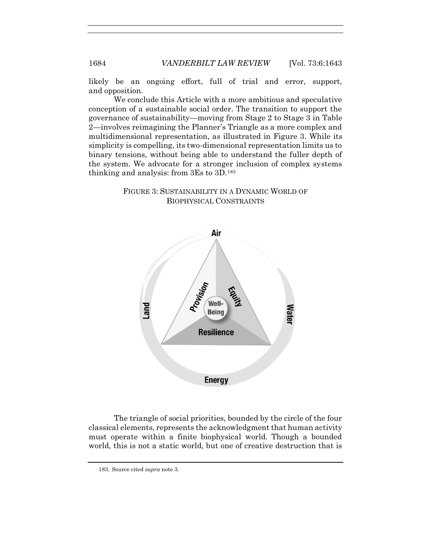likely be an ongoing effort, full of trial and error, support, and opposition.

We conclude this Article with a more ambitious and speculative conception of a sustainable social order. The transition to support the governance of sustainability—moving from Stage 2 to Stage 3 in Table 2—involves reimagining the Planner's Triangle as a more complex and multidimensional representation, as illustrated in Figure 3. While its simplicity is compelling, its two-dimensional representation limits us to binary tensions, without being able to understand the fuller depth of the system. We advocate for a stronger inclusion of complex systems thinking and analysis: from 3Es to 3D.<sup>183</sup>

# FIGURE 3: SUSTAINABILITY IN A DYNAMIC WORLD OF BIOPHYSICAL CONSTRAINTS



The triangle of social priorities, bounded by the circle of the four classical elements, represents the acknowledgment that human activity must operate within a finite biophysical world. Though a bounded world, this is not a static world, but one of creative destruction that is

183. Source cited *supra* note [3.](#page-2-0)